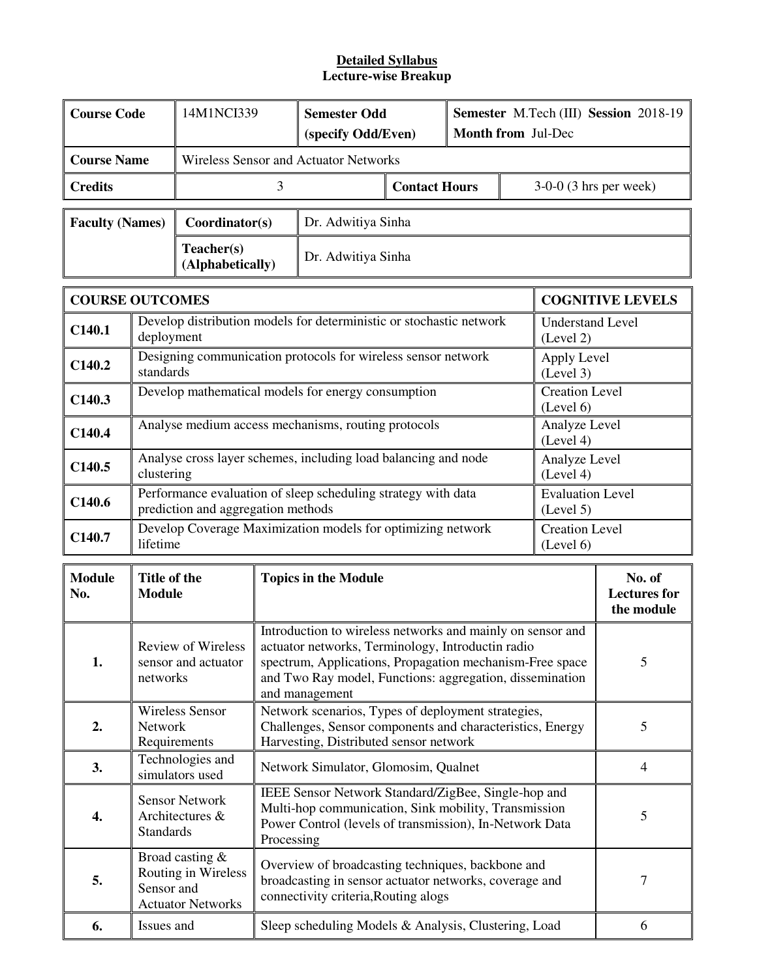#### **Detailed Syllabus Lecture-wise Breakup**

| <b>Course Code</b>     |                                                                                                            | 14M1NCI339                                                         |                             | <b>Semester Odd</b><br>(specify Odd/Even)                                                                                                                                                                                                                      |                                      | Semester M.Tech (III) Session 2018-19<br>Month from Jul-Dec |                                             |                                                           |                         |  |  |
|------------------------|------------------------------------------------------------------------------------------------------------|--------------------------------------------------------------------|-----------------------------|----------------------------------------------------------------------------------------------------------------------------------------------------------------------------------------------------------------------------------------------------------------|--------------------------------------|-------------------------------------------------------------|---------------------------------------------|-----------------------------------------------------------|-------------------------|--|--|
| <b>Course Name</b>     |                                                                                                            |                                                                    |                             | Wireless Sensor and Actuator Networks                                                                                                                                                                                                                          |                                      |                                                             |                                             |                                                           |                         |  |  |
| <b>Credits</b>         |                                                                                                            |                                                                    | 3<br><b>Contact Hours</b>   |                                                                                                                                                                                                                                                                |                                      | $3-0-0$ (3 hrs per week)                                    |                                             |                                                           |                         |  |  |
| <b>Faculty (Names)</b> |                                                                                                            | Coordinator(s)                                                     |                             | Dr. Adwitiya Sinha                                                                                                                                                                                                                                             |                                      |                                                             |                                             |                                                           |                         |  |  |
|                        |                                                                                                            | Teacher(s)<br>(Alphabetically)                                     |                             | Dr. Adwitiya Sinha                                                                                                                                                                                                                                             |                                      |                                                             |                                             |                                                           |                         |  |  |
| <b>COURSE OUTCOMES</b> |                                                                                                            |                                                                    |                             |                                                                                                                                                                                                                                                                |                                      |                                                             |                                             |                                                           | <b>COGNITIVE LEVELS</b> |  |  |
| C140.1                 | deployment                                                                                                 |                                                                    |                             | Develop distribution models for deterministic or stochastic network                                                                                                                                                                                            |                                      |                                                             |                                             | <b>Understand Level</b><br>(Level 2)                      |                         |  |  |
| C <sub>140.2</sub>     | standards                                                                                                  |                                                                    |                             | Designing communication protocols for wireless sensor network                                                                                                                                                                                                  |                                      |                                                             |                                             | Apply Level<br>(Level 3)                                  |                         |  |  |
| C140.3                 |                                                                                                            |                                                                    |                             | Develop mathematical models for energy consumption                                                                                                                                                                                                             |                                      |                                                             |                                             | <b>Creation Level</b><br>(Level 6)                        |                         |  |  |
| C140.4                 |                                                                                                            |                                                                    |                             | Analyse medium access mechanisms, routing protocols                                                                                                                                                                                                            |                                      |                                                             |                                             | Analyze Level<br>(Level 4)                                |                         |  |  |
| C140.5                 | Analyse cross layer schemes, including load balancing and node<br>Analyze Level<br>clustering<br>(Level 4) |                                                                    |                             |                                                                                                                                                                                                                                                                |                                      |                                                             |                                             |                                                           |                         |  |  |
| C140.6                 | Performance evaluation of sleep scheduling strategy with data<br>prediction and aggregation methods        |                                                                    |                             |                                                                                                                                                                                                                                                                | <b>Evaluation Level</b><br>(Level 5) |                                                             |                                             |                                                           |                         |  |  |
| C140.7                 | lifetime                                                                                                   |                                                                    |                             | Develop Coverage Maximization models for optimizing network                                                                                                                                                                                                    |                                      |                                                             |                                             | <b>Creation Level</b><br>(Level 6)                        |                         |  |  |
| <b>Module</b><br>No.   | Title of the<br><b>Module</b>                                                                              |                                                                    | <b>Topics in the Module</b> |                                                                                                                                                                                                                                                                |                                      |                                                             | No. of<br><b>Lectures</b> for<br>the module |                                                           |                         |  |  |
| 1.                     | networks                                                                                                   | <b>Review of Wireless</b><br>sensor and actuator                   |                             | Introduction to wireless networks and mainly on sensor and<br>actuator networks, Terminology, Introductin radio<br>5<br>spectrum, Applications, Propagation mechanism-Free space<br>and Two Ray model, Functions: aggregation, dissemination<br>and management |                                      |                                                             |                                             |                                                           |                         |  |  |
| 2.                     | Network                                                                                                    | <b>Wireless Sensor</b><br>Requirements                             |                             | Network scenarios, Types of deployment strategies,<br>Challenges, Sensor components and characteristics, Energy<br>Harvesting, Distributed sensor network                                                                                                      |                                      |                                                             |                                             | 5                                                         |                         |  |  |
| 3.                     |                                                                                                            | Technologies and<br>simulators used                                |                             | Network Simulator, Glomosim, Qualnet                                                                                                                                                                                                                           |                                      |                                                             |                                             | $\overline{4}$                                            |                         |  |  |
| 4.                     | <b>Standards</b>                                                                                           | <b>Sensor Network</b><br>Architectures &                           |                             | IEEE Sensor Network Standard/ZigBee, Single-hop and<br>Multi-hop communication, Sink mobility, Transmission<br>Power Control (levels of transmission), In-Network Data<br>Processing                                                                           |                                      |                                                             |                                             |                                                           | 5                       |  |  |
| 5.                     | Sensor and                                                                                                 | Broad casting &<br>Routing in Wireless<br><b>Actuator Networks</b> |                             | Overview of broadcasting techniques, backbone and<br>broadcasting in sensor actuator networks, coverage and<br>connectivity criteria, Routing alogs                                                                                                            |                                      |                                                             |                                             |                                                           | 7                       |  |  |
| 6.                     | Issues and                                                                                                 |                                                                    |                             |                                                                                                                                                                                                                                                                |                                      |                                                             |                                             | Sleep scheduling Models & Analysis, Clustering, Load<br>6 |                         |  |  |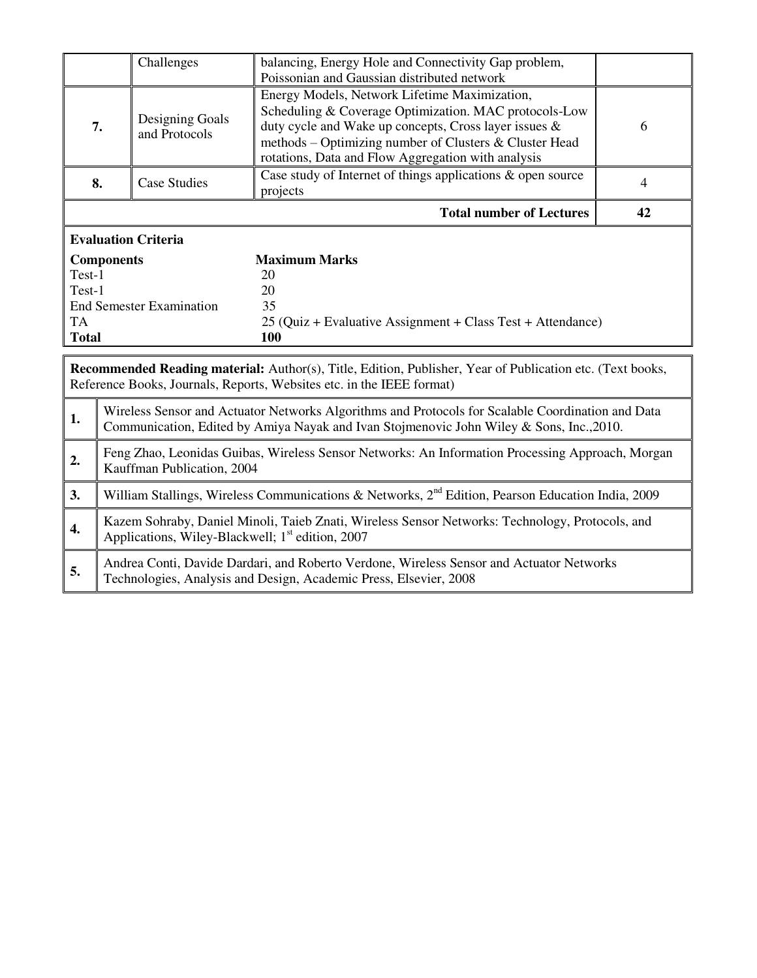|              |                                                                                                                                                                                               | Challenges                       | balancing, Energy Hole and Connectivity Gap problem,                                                                                                                                                                                                                            |    |  |  |
|--------------|-----------------------------------------------------------------------------------------------------------------------------------------------------------------------------------------------|----------------------------------|---------------------------------------------------------------------------------------------------------------------------------------------------------------------------------------------------------------------------------------------------------------------------------|----|--|--|
|              |                                                                                                                                                                                               |                                  | Poissonian and Gaussian distributed network                                                                                                                                                                                                                                     |    |  |  |
|              | 7.                                                                                                                                                                                            | Designing Goals<br>and Protocols | Energy Models, Network Lifetime Maximization,<br>Scheduling & Coverage Optimization. MAC protocols-Low<br>duty cycle and Wake up concepts, Cross layer issues &<br>methods – Optimizing number of Clusters & Cluster Head<br>rotations, Data and Flow Aggregation with analysis | 6  |  |  |
|              | 8.                                                                                                                                                                                            | Case Studies                     | Case study of Internet of things applications & open source<br>projects                                                                                                                                                                                                         | 4  |  |  |
|              |                                                                                                                                                                                               |                                  | <b>Total number of Lectures</b>                                                                                                                                                                                                                                                 | 42 |  |  |
|              |                                                                                                                                                                                               | <b>Evaluation Criteria</b>       |                                                                                                                                                                                                                                                                                 |    |  |  |
|              | <b>Components</b>                                                                                                                                                                             |                                  | <b>Maximum Marks</b>                                                                                                                                                                                                                                                            |    |  |  |
| Test-1       |                                                                                                                                                                                               |                                  | 20                                                                                                                                                                                                                                                                              |    |  |  |
|              | Test-1                                                                                                                                                                                        |                                  | 20                                                                                                                                                                                                                                                                              |    |  |  |
|              |                                                                                                                                                                                               | <b>End Semester Examination</b>  | 35                                                                                                                                                                                                                                                                              |    |  |  |
| TA           |                                                                                                                                                                                               |                                  | 25 (Quiz + Evaluative Assignment + Class Test + Attendance)                                                                                                                                                                                                                     |    |  |  |
| <b>Total</b> |                                                                                                                                                                                               |                                  | 100                                                                                                                                                                                                                                                                             |    |  |  |
|              | <b>Recommended Reading material:</b> Author(s), Title, Edition, Publisher, Year of Publication etc. (Text books,<br>Reference Books, Journals, Reports, Websites etc. in the IEEE format)     |                                  |                                                                                                                                                                                                                                                                                 |    |  |  |
| 1.           | Wireless Sensor and Actuator Networks Algorithms and Protocols for Scalable Coordination and Data<br>Communication, Edited by Amiya Nayak and Ivan Stojmenovic John Wiley & Sons, Inc., 2010. |                                  |                                                                                                                                                                                                                                                                                 |    |  |  |
| 2.           |                                                                                                                                                                                               | Kauffman Publication, 2004       | Feng Zhao, Leonidas Guibas, Wireless Sensor Networks: An Information Processing Approach, Morgan                                                                                                                                                                                |    |  |  |

3. William Stallings, Wireless Communications & Networks, 2<sup>nd</sup> Edition, Pearson Education India, 2009

**4. Kazem Sohraby, Daniel Minoli, Taieb Znati, Wireless Sensor Networks: Technology, Protocols, and Anglicking Wilson Plashmull, 1<sup>st</sup> alitime, 2007** 

**5.** Andrea Conti, Davide Dardari, and Roberto Verdone, Wireless Sensor and Actuator Networks

Technologies, Analysis and Design, Academic Press, Elsevier, 2008

Applications, Wiley-Blackwell; 1<sup>st</sup> edition, 2007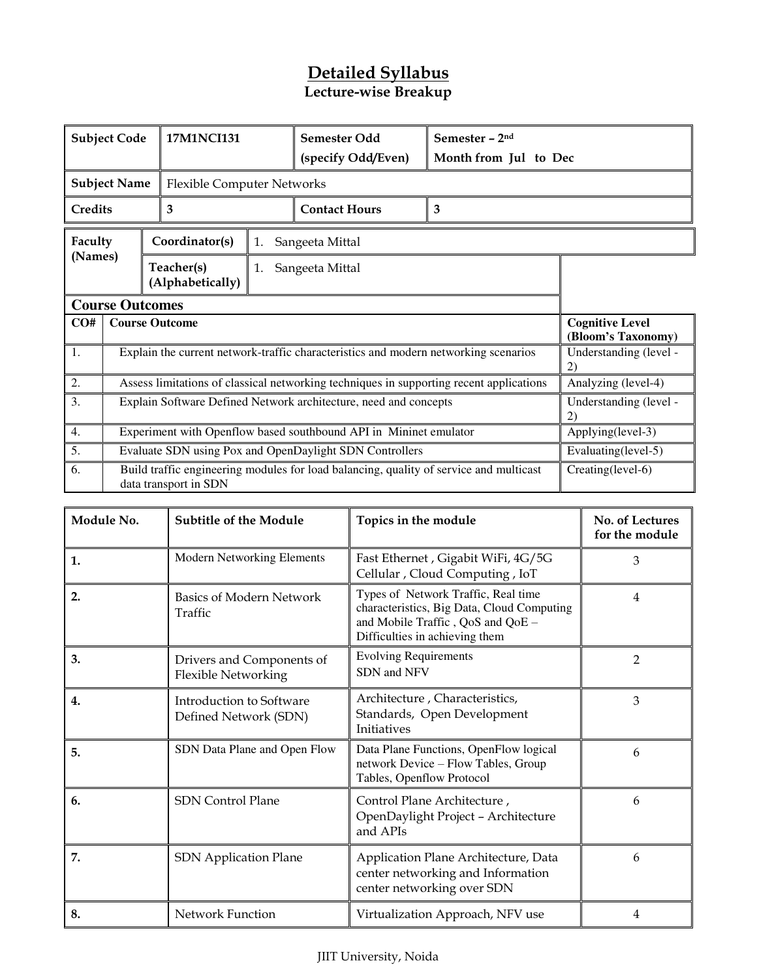# **Lecture-wise Breakup**

| <b>Subject Code</b> |                                                                   |  | <b>17M1NCI131</b>          |    | Semester Odd<br>(specify Odd/Even)                                                      | Semester - 2nd<br>Month from Jul to Dec |                                              |
|---------------------|-------------------------------------------------------------------|--|----------------------------|----|-----------------------------------------------------------------------------------------|-----------------------------------------|----------------------------------------------|
|                     | <b>Subject Name</b>                                               |  | Flexible Computer Networks |    |                                                                                         |                                         |                                              |
| Credits             |                                                                   |  | 3                          |    | <b>Contact Hours</b>                                                                    | 3                                       |                                              |
| Faculty             |                                                                   |  | Coordinator(s)             | 1. | Sangeeta Mittal                                                                         |                                         |                                              |
| (Names)             | Teacher(s)<br>Sangeeta Mittal<br>1.<br>(Alphabetically)           |  |                            |    |                                                                                         |                                         |                                              |
|                     | <b>Course Outcomes</b>                                            |  |                            |    |                                                                                         |                                         |                                              |
| CO#                 |                                                                   |  | <b>Course Outcome</b>      |    |                                                                                         |                                         | <b>Cognitive Level</b><br>(Bloom's Taxonomy) |
| 1.                  |                                                                   |  |                            |    | Explain the current network-traffic characteristics and modern networking scenarios     |                                         | Understanding (level -<br>2)                 |
| 2.                  |                                                                   |  |                            |    | Assess limitations of classical networking techniques in supporting recent applications |                                         | Analyzing (level-4)                          |
| 3.                  | Explain Software Defined Network architecture, need and concepts  |  |                            |    |                                                                                         |                                         | Understanding (level -<br>2)                 |
| 4.                  | Experiment with Openflow based southbound API in Mininet emulator |  |                            |    |                                                                                         | Applying(level-3)                       |                                              |
| 5.                  | Evaluate SDN using Pox and OpenDaylight SDN Controllers           |  |                            |    |                                                                                         | Evaluating(level-5)                     |                                              |
| 6.                  |                                                                   |  | data transport in SDN      |    | Build traffic engineering modules for load balancing, quality of service and multicast  |                                         | Creating(level-6)                            |

| Module No. | <b>Subtitle of the Module</b>                     | Topics in the module                                                                                                                                     | No. of Lectures<br>for the module |
|------------|---------------------------------------------------|----------------------------------------------------------------------------------------------------------------------------------------------------------|-----------------------------------|
| 1.         | <b>Modern Networking Elements</b>                 | Fast Ethernet, Gigabit WiFi, 4G/5G<br>Cellular, Cloud Computing, IoT                                                                                     | 3                                 |
| 2.         | Basics of Modern Network<br>Traffic               | Types of Network Traffic, Real time<br>characteristics, Big Data, Cloud Computing<br>and Mobile Traffic, QoS and QoE -<br>Difficulties in achieving them | $\overline{4}$                    |
| 3.         | Drivers and Components of<br>Flexible Networking  | <b>Evolving Requirements</b><br>SDN and NFV                                                                                                              | $\overline{2}$                    |
| 4.         | Introduction to Software<br>Defined Network (SDN) | Architecture, Characteristics,<br>Standards, Open Development<br><b>Initiatives</b>                                                                      | 3                                 |
| 5.         | SDN Data Plane and Open Flow                      | Data Plane Functions, OpenFlow logical<br>network Device - Flow Tables, Group<br>Tables, Openflow Protocol                                               | 6                                 |
| 6.         | <b>SDN Control Plane</b>                          | Control Plane Architecture,<br>OpenDaylight Project - Architecture<br>and APIs                                                                           | 6                                 |
| 7.         | <b>SDN</b> Application Plane                      | Application Plane Architecture, Data<br>center networking and Information<br>center networking over SDN                                                  | 6                                 |
| 8.         | Network Function                                  | Virtualization Approach, NFV use                                                                                                                         | 4                                 |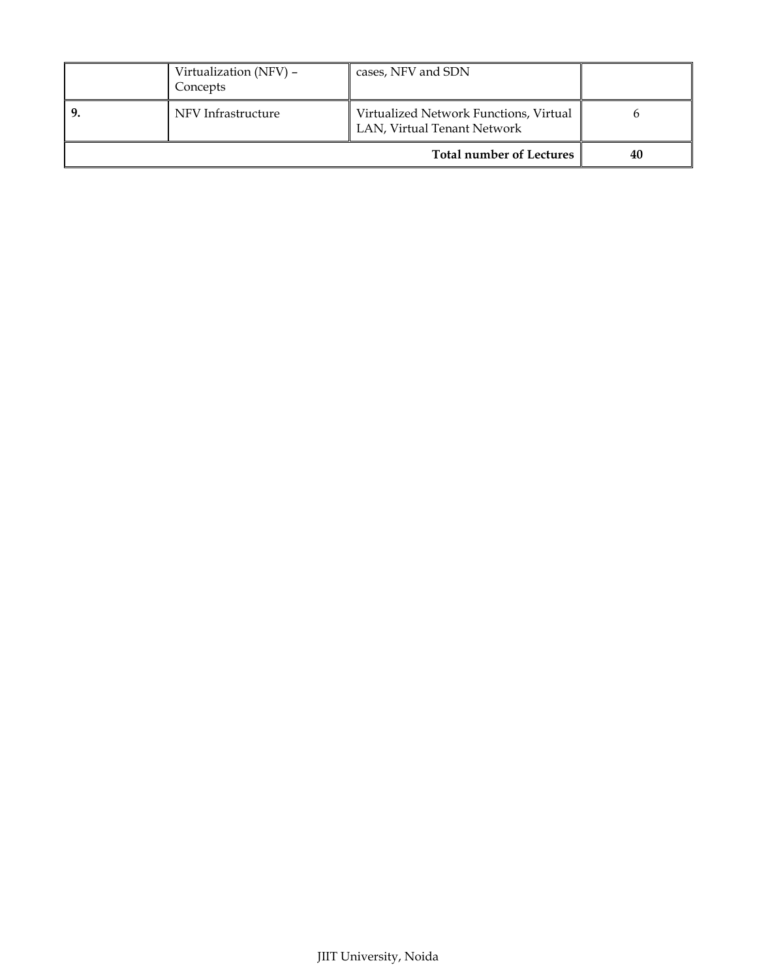| Virtualization (NFV) -<br>Concepts | cases, NFV and SDN                                                    |    |
|------------------------------------|-----------------------------------------------------------------------|----|
| NFV Infrastructure                 | Virtualized Network Functions, Virtual<br>LAN, Virtual Tenant Network |    |
|                                    | <b>Total number of Lectures</b>                                       | 40 |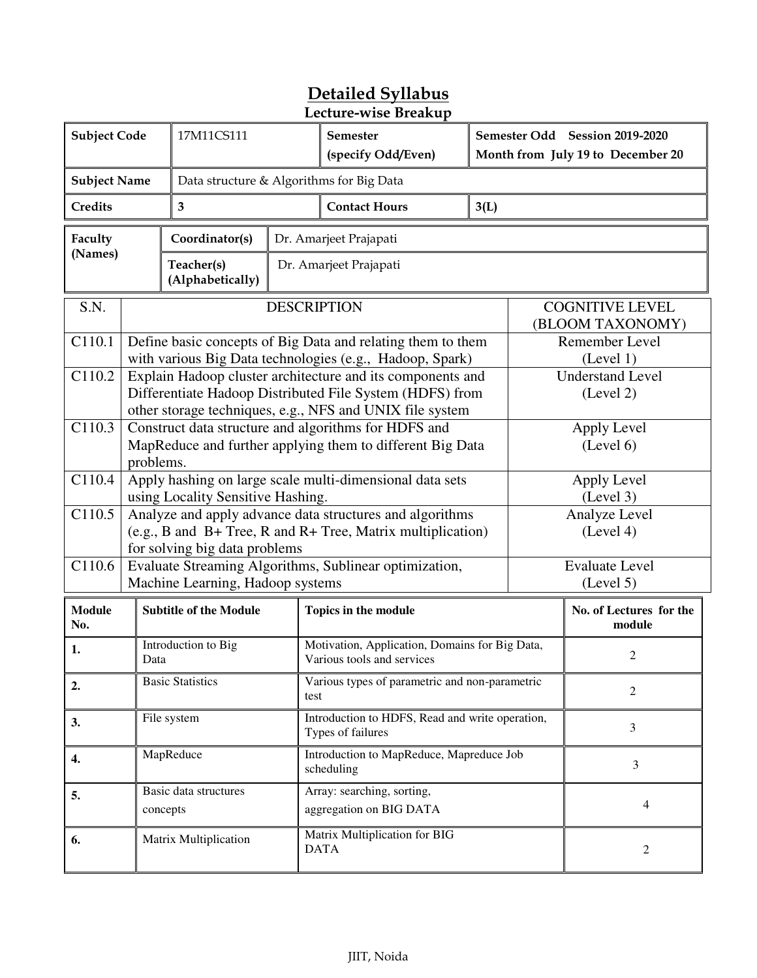|                      | Lecture-wise Breakup |                                                                                                                                               |                    |                                                                                                                                                                                    |      |                |                                            |
|----------------------|----------------------|-----------------------------------------------------------------------------------------------------------------------------------------------|--------------------|------------------------------------------------------------------------------------------------------------------------------------------------------------------------------------|------|----------------|--------------------------------------------|
| <b>Subject Code</b>  |                      | 17M11CS111                                                                                                                                    |                    | Semester                                                                                                                                                                           |      |                | Semester Odd Session 2019-2020             |
|                      |                      | (specify Odd/Even)                                                                                                                            |                    |                                                                                                                                                                                    |      |                | Month from July 19 to December 20          |
| <b>Subject Name</b>  |                      |                                                                                                                                               |                    | Data structure & Algorithms for Big Data                                                                                                                                           |      |                |                                            |
| Credits              |                      | 3                                                                                                                                             |                    | <b>Contact Hours</b>                                                                                                                                                               | 3(L) |                |                                            |
| Faculty              |                      | Coordinator(s)                                                                                                                                |                    | Dr. Amarjeet Prajapati                                                                                                                                                             |      |                |                                            |
| (Names)              |                      | Teacher(s)<br>(Alphabetically)                                                                                                                |                    | Dr. Amarjeet Prajapati                                                                                                                                                             |      |                |                                            |
| S.N.                 |                      |                                                                                                                                               | <b>DESCRIPTION</b> |                                                                                                                                                                                    |      |                | <b>COGNITIVE LEVEL</b><br>(BLOOM TAXONOMY) |
| C110.1               |                      |                                                                                                                                               |                    | Define basic concepts of Big Data and relating them to them<br>with various Big Data technologies (e.g., Hadoop, Spark)                                                            |      |                | Remember Level<br>(Level 1)                |
| C110.2               |                      |                                                                                                                                               |                    | Explain Hadoop cluster architecture and its components and<br>Differentiate Hadoop Distributed File System (HDFS) from<br>other storage techniques, e.g., NFS and UNIX file system |      |                | <b>Understand Level</b><br>(Level 2)       |
| C110.3               | problems.            | Construct data structure and algorithms for HDFS and<br>Apply Level<br>MapReduce and further applying them to different Big Data<br>(Level 6) |                    |                                                                                                                                                                                    |      |                |                                            |
| C110.4               |                      | Apply hashing on large scale multi-dimensional data sets<br>Apply Level<br>using Locality Sensitive Hashing.                                  |                    |                                                                                                                                                                                    |      | (Level 3)      |                                            |
| C110.5               |                      |                                                                                                                                               |                    | Analyze and apply advance data structures and algorithms<br>Analyze Level                                                                                                          |      |                |                                            |
|                      |                      | for solving big data problems                                                                                                                 |                    | (e.g., B and B+ Tree, R and R+ Tree, Matrix multiplication)                                                                                                                        |      |                | (Level 4)                                  |
| C110.6               |                      |                                                                                                                                               |                    | Evaluate Streaming Algorithms, Sublinear optimization,                                                                                                                             |      |                | <b>Evaluate Level</b>                      |
|                      |                      | Machine Learning, Hadoop systems                                                                                                              |                    |                                                                                                                                                                                    |      |                | (Level 5)                                  |
| <b>Module</b><br>No. |                      | <b>Subtitle of the Module</b>                                                                                                                 |                    | Topics in the module                                                                                                                                                               |      |                | No. of Lectures for the<br>module          |
| 1.                   | Data                 | Introduction to Big                                                                                                                           |                    | Motivation, Application, Domains for Big Data,<br>Various tools and services                                                                                                       |      |                | 2                                          |
| 2.                   |                      | <b>Basic Statistics</b>                                                                                                                       | test               | Various types of parametric and non-parametric                                                                                                                                     |      | $\overline{2}$ |                                            |
| 3.                   |                      | File system                                                                                                                                   |                    | Introduction to HDFS, Read and write operation,<br>Types of failures                                                                                                               |      | 3              |                                            |
| 4.                   |                      | MapReduce                                                                                                                                     |                    | Introduction to MapReduce, Mapreduce Job<br>scheduling                                                                                                                             |      | 3              |                                            |
| 5.                   |                      | Basic data structures<br>concepts                                                                                                             |                    | Array: searching, sorting,<br>aggregation on BIG DATA                                                                                                                              |      |                | 4                                          |
| 6.                   |                      | Matrix Multiplication                                                                                                                         |                    | Matrix Multiplication for BIG<br><b>DATA</b>                                                                                                                                       |      |                | $\overline{c}$                             |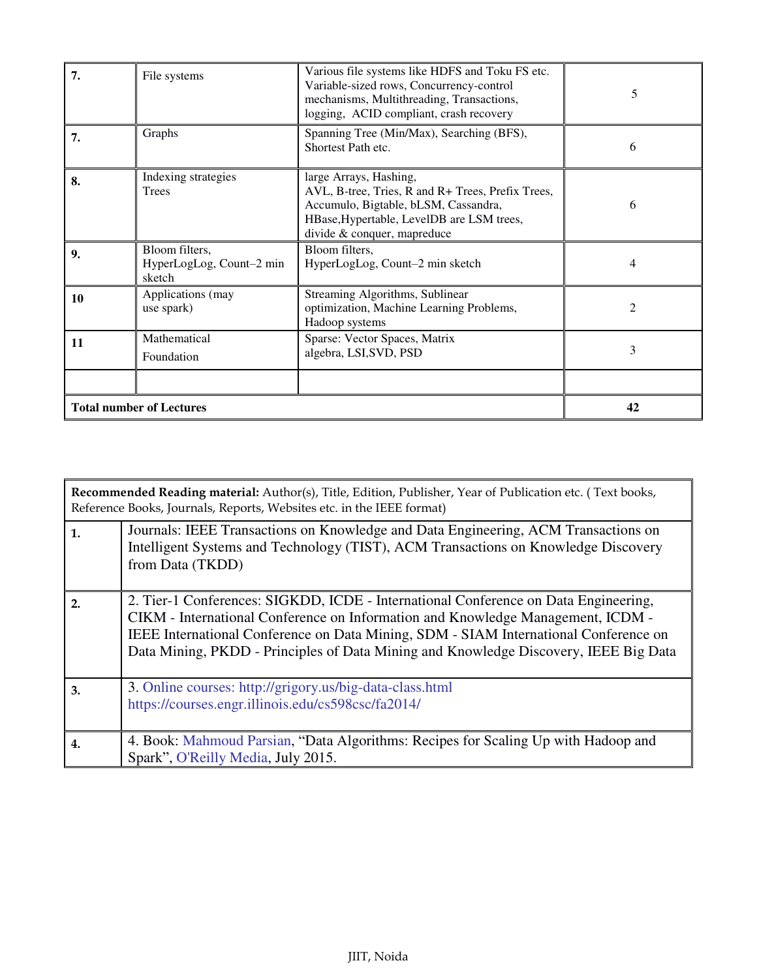|    | <b>Total number of Lectures</b>                      |                                                                                                                                                                                                 | 42 |
|----|------------------------------------------------------|-------------------------------------------------------------------------------------------------------------------------------------------------------------------------------------------------|----|
|    |                                                      |                                                                                                                                                                                                 |    |
| 11 | Mathematical<br>Foundation                           | Sparse: Vector Spaces, Matrix<br>algebra, LSI, SVD, PSD                                                                                                                                         | 3  |
| 10 | Applications (may<br>use spark)                      | Streaming Algorithms, Sublinear<br>optimization, Machine Learning Problems,<br>Hadoop systems                                                                                                   | 2  |
| 9. | Bloom filters,<br>HyperLogLog, Count-2 min<br>sketch | Bloom filters,<br>HyperLogLog, Count-2 min sketch                                                                                                                                               | 4  |
| 8. | Indexing strategies<br>Trees                         | large Arrays, Hashing,<br>AVL, B-tree, Tries, R and R+ Trees, Prefix Trees,<br>Accumulo, Bigtable, bLSM, Cassandra,<br>HBase, Hypertable, LevelDB are LSM trees,<br>divide & conquer, mapreduce | 6  |
| 7. | Graphs                                               | Spanning Tree (Min/Max), Searching (BFS),<br>Shortest Path etc.                                                                                                                                 | 6  |
| 7. | File systems                                         | Various file systems like HDFS and Toku FS etc.<br>Variable-sized rows, Concurrency-control<br>mechanisms, Multithreading, Transactions,<br>logging, ACID compliant, crash recovery             | 5  |

|    | Recommended Reading material: Author(s), Title, Edition, Publisher, Year of Publication etc. (Text books,<br>Reference Books, Journals, Reports, Websites etc. in the IEEE format)                                                                                                                                                                     |  |  |  |
|----|--------------------------------------------------------------------------------------------------------------------------------------------------------------------------------------------------------------------------------------------------------------------------------------------------------------------------------------------------------|--|--|--|
| 1. | Journals: IEEE Transactions on Knowledge and Data Engineering, ACM Transactions on<br>Intelligent Systems and Technology (TIST), ACM Transactions on Knowledge Discovery<br>from Data (TKDD)                                                                                                                                                           |  |  |  |
| 2. | 2. Tier-1 Conferences: SIGKDD, ICDE - International Conference on Data Engineering,<br>CIKM - International Conference on Information and Knowledge Management, ICDM -<br>IEEE International Conference on Data Mining, SDM - SIAM International Conference on<br>Data Mining, PKDD - Principles of Data Mining and Knowledge Discovery, IEEE Big Data |  |  |  |
| 3. | 3. Online courses: http://grigory.us/big-data-class.html<br>https://courses.engr.illinois.edu/cs598csc/fa2014/                                                                                                                                                                                                                                         |  |  |  |
| 4. | 4. Book: Mahmoud Parsian, "Data Algorithms: Recipes for Scaling Up with Hadoop and<br>Spark", O'Reilly Media, July 2015.                                                                                                                                                                                                                               |  |  |  |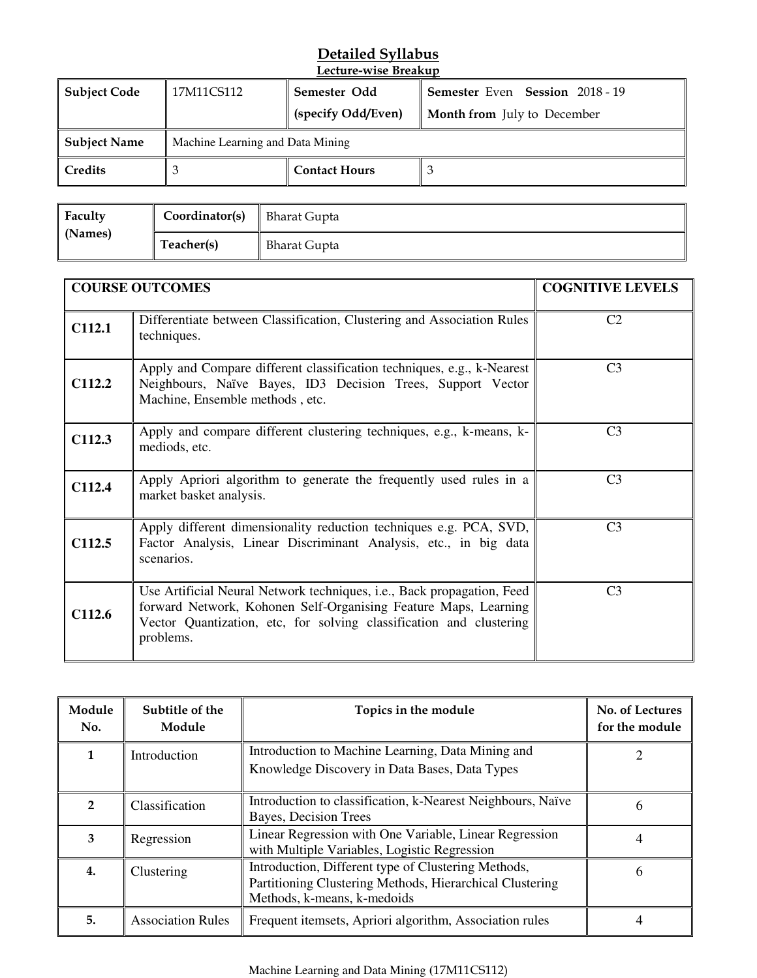#### **Detailed Syllabus Lecture-wise Breakup**

| <b>Subject Code</b> | 17M11CS112                       | Semester Odd<br>(specify Odd/Even) | <b>Semester Even Session 2018 - 19</b><br><b>Month from</b> July to December |  |  |
|---------------------|----------------------------------|------------------------------------|------------------------------------------------------------------------------|--|--|
| <b>Subject Name</b> | Machine Learning and Data Mining |                                    |                                                                              |  |  |
| Credits             |                                  | <b>Contact Hours</b>               | - 3                                                                          |  |  |

| Faculty<br>(Names) | Coordinator(s) | <b>Bharat Gupta</b> |
|--------------------|----------------|---------------------|
|                    | Teacher(s)     | <b>Bharat Gupta</b> |

|        | <b>COURSE OUTCOMES</b>                                                                                                                                                                                                                | <b>COGNITIVE LEVELS</b> |
|--------|---------------------------------------------------------------------------------------------------------------------------------------------------------------------------------------------------------------------------------------|-------------------------|
| C112.1 | Differentiate between Classification, Clustering and Association Rules<br>techniques.                                                                                                                                                 | C <sub>2</sub>          |
| C112.2 | Apply and Compare different classification techniques, e.g., k-Nearest<br>Neighbours, Naïve Bayes, ID3 Decision Trees, Support Vector<br>Machine, Ensemble methods, etc.                                                              | C <sub>3</sub>          |
| C112.3 | Apply and compare different clustering techniques, e.g., k-means, k-<br>mediods, etc.                                                                                                                                                 | C <sub>3</sub>          |
| C112.4 | Apply Apriori algorithm to generate the frequently used rules in a<br>market basket analysis.                                                                                                                                         | C <sub>3</sub>          |
| C112.5 | Apply different dimensionality reduction techniques e.g. PCA, SVD,<br>Factor Analysis, Linear Discriminant Analysis, etc., in big data<br>scenarios.                                                                                  | C <sub>3</sub>          |
| C112.6 | Use Artificial Neural Network techniques, <i>i.e.</i> , Back propagation, Feed<br>forward Network, Kohonen Self-Organising Feature Maps, Learning<br>Vector Quantization, etc, for solving classification and clustering<br>problems. | C <sub>3</sub>          |

| Module<br>No.  | Subtitle of the<br>Module | Topics in the module                                                                                                                           | No. of Lectures<br>for the module |
|----------------|---------------------------|------------------------------------------------------------------------------------------------------------------------------------------------|-----------------------------------|
| 1              | Introduction              | Introduction to Machine Learning, Data Mining and<br>Knowledge Discovery in Data Bases, Data Types                                             |                                   |
| $\overline{2}$ | Classification            | Introduction to classification, k-Nearest Neighbours, Naïve<br>Bayes, Decision Trees                                                           | 6                                 |
| 3              | Regression                | Linear Regression with One Variable, Linear Regression<br>with Multiple Variables, Logistic Regression                                         | 4                                 |
| 4.             | Clustering                | Introduction, Different type of Clustering Methods,<br>Partitioning Clustering Methods, Hierarchical Clustering<br>Methods, k-means, k-medoids | 6                                 |
| 5.             | <b>Association Rules</b>  | Frequent itemsets, Apriori algorithm, Association rules                                                                                        |                                   |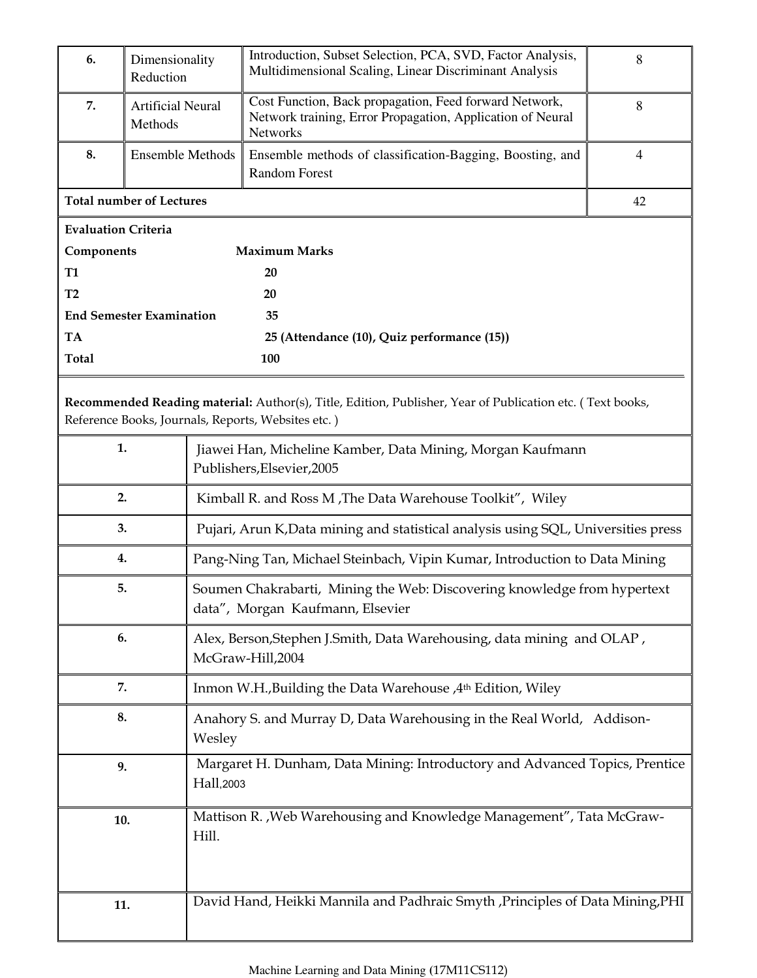| 6.                              | Dimensionality<br>Reduction     | Introduction, Subset Selection, PCA, SVD, Factor Analysis,<br>Multidimensional Scaling, Linear Discriminant Analysis                                            |                                                                          |  |  |  |  |
|---------------------------------|---------------------------------|-----------------------------------------------------------------------------------------------------------------------------------------------------------------|--------------------------------------------------------------------------|--|--|--|--|
| 7.                              | Artificial Neural<br>Methods    | Cost Function, Back propagation, Feed forward Network,<br>Network training, Error Propagation, Application of Neural<br>Networks                                | 8                                                                        |  |  |  |  |
| 8.                              | <b>Ensemble Methods</b>         | Ensemble methods of classification-Bagging, Boosting, and<br><b>Random Forest</b>                                                                               | $\overline{4}$                                                           |  |  |  |  |
| <b>Total number of Lectures</b> | 42                              |                                                                                                                                                                 |                                                                          |  |  |  |  |
| <b>Evaluation Criteria</b>      |                                 |                                                                                                                                                                 |                                                                          |  |  |  |  |
| Components                      |                                 | <b>Maximum Marks</b>                                                                                                                                            |                                                                          |  |  |  |  |
| <b>T1</b>                       |                                 | 20                                                                                                                                                              |                                                                          |  |  |  |  |
| T2                              |                                 | 20                                                                                                                                                              |                                                                          |  |  |  |  |
|                                 | <b>End Semester Examination</b> | 35                                                                                                                                                              |                                                                          |  |  |  |  |
| <b>TA</b>                       |                                 | 25 (Attendance (10), Quiz performance (15))                                                                                                                     |                                                                          |  |  |  |  |
| <b>Total</b>                    |                                 | 100                                                                                                                                                             |                                                                          |  |  |  |  |
|                                 |                                 | Recommended Reading material: Author(s), Title, Edition, Publisher, Year of Publication etc. (Text books,<br>Reference Books, Journals, Reports, Websites etc.) |                                                                          |  |  |  |  |
| 1.                              |                                 | Jiawei Han, Micheline Kamber, Data Mining, Morgan Kaufmann<br>Publishers, Elsevier, 2005                                                                        |                                                                          |  |  |  |  |
| 2.                              |                                 | Kimball R. and Ross M, The Data Warehouse Toolkit", Wiley                                                                                                       |                                                                          |  |  |  |  |
| 3.                              |                                 | Pujari, Arun K, Data mining and statistical analysis using SQL, Universities press                                                                              |                                                                          |  |  |  |  |
| 4.                              |                                 | Pang-Ning Tan, Michael Steinbach, Vipin Kumar, Introduction to Data Mining                                                                                      |                                                                          |  |  |  |  |
| 5.                              |                                 | data", Morgan Kaufmann, Elsevier                                                                                                                                | Soumen Chakrabarti, Mining the Web: Discovering knowledge from hypertext |  |  |  |  |
| 6.                              |                                 | McGraw-Hill,2004                                                                                                                                                | Alex, Berson, Stephen J. Smith, Data Warehousing, data mining and OLAP,  |  |  |  |  |
| 7.                              |                                 | Inmon W.H., Building the Data Warehouse, 4th Edition, Wiley                                                                                                     |                                                                          |  |  |  |  |
| 8.                              |                                 | Wesley                                                                                                                                                          | Anahory S. and Murray D, Data Warehousing in the Real World, Addison-    |  |  |  |  |
| 9.<br>Hall,2003                 |                                 | Margaret H. Dunham, Data Mining: Introductory and Advanced Topics, Prentice                                                                                     |                                                                          |  |  |  |  |
| 10.                             | Hill.                           | Mattison R. , Web Warehousing and Knowledge Management", Tata McGraw-                                                                                           |                                                                          |  |  |  |  |
| 11.                             |                                 | David Hand, Heikki Mannila and Padhraic Smyth, Principles of Data Mining, PHI                                                                                   |                                                                          |  |  |  |  |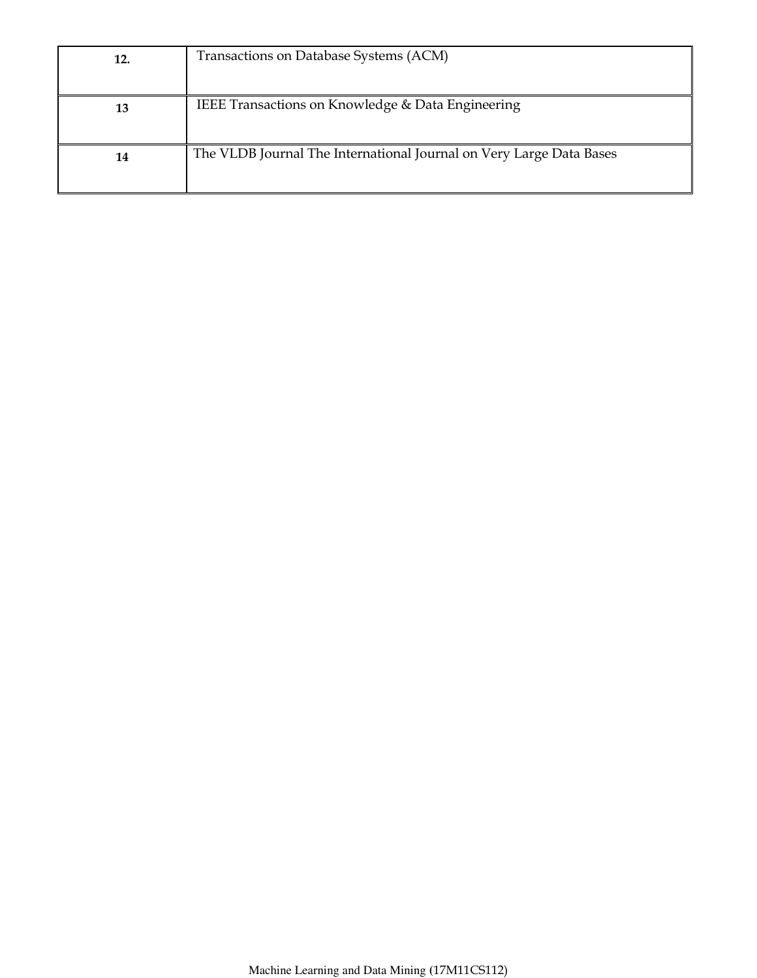| 12. | Transactions on Database Systems (ACM)                              |
|-----|---------------------------------------------------------------------|
| 13  | IEEE Transactions on Knowledge & Data Engineering                   |
| 14  | The VLDB Journal The International Journal on Very Large Data Bases |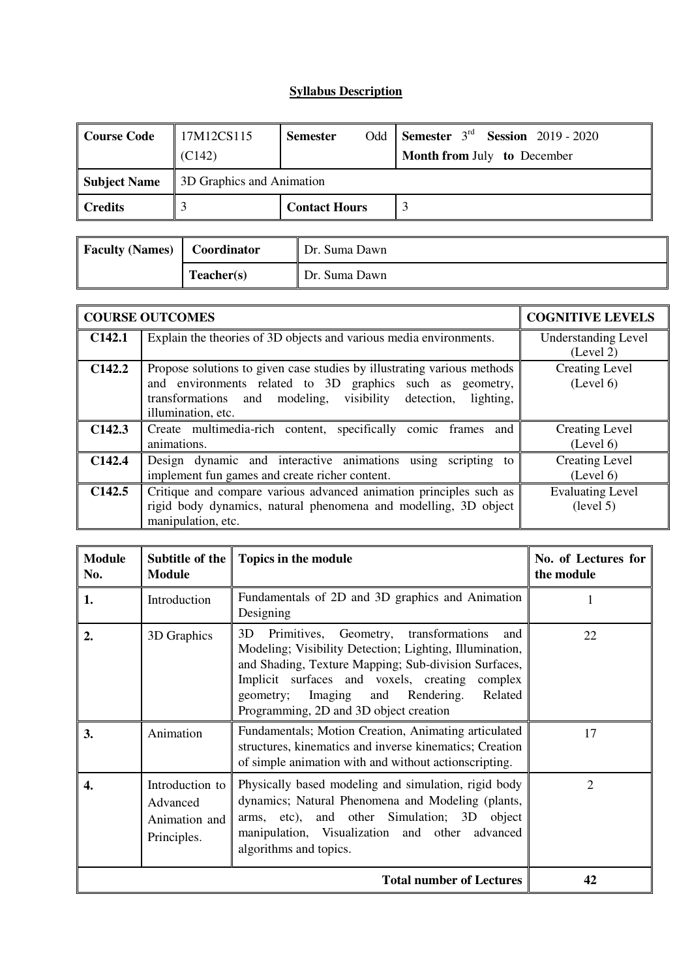## **Syllabus Description**

| <b>Course Code</b>  | 17M12CS115<br>(C142)      | Odd<br><b>Semester</b> | Semester $3rd$ Session 2019 - 2020<br><b>Month from July to December</b> |  |  |
|---------------------|---------------------------|------------------------|--------------------------------------------------------------------------|--|--|
| <b>Subject Name</b> | 3D Graphics and Animation |                        |                                                                          |  |  |
| <b>Credits</b>      |                           | <b>Contact Hours</b>   |                                                                          |  |  |

| <b>Faculty (Names)</b> | Coordinator | Dr. Suma Dawn |
|------------------------|-------------|---------------|
|                        | Teacher(s)  | Dr. Suma Dawn |

|                    | <b>COURSE OUTCOMES</b>                                                                                                                                                                                                         | <b>COGNITIVE LEVELS</b>                 |
|--------------------|--------------------------------------------------------------------------------------------------------------------------------------------------------------------------------------------------------------------------------|-----------------------------------------|
| C142.1             | Explain the theories of 3D objects and various media environments.                                                                                                                                                             | <b>Understanding Level</b><br>(Level 2) |
| C <sub>142.2</sub> | Propose solutions to given case studies by illustrating various methods<br>and environments related to 3D graphics such as geometry,<br>transformations and modeling, visibility detection,<br>lighting,<br>illumination, etc. | <b>Creating Level</b><br>(Level 6)      |
| C142.3             | Create multimedia-rich content, specifically comic frames and<br>animations.                                                                                                                                                   | <b>Creating Level</b><br>(Level 6)      |
| C142.4             | Design dynamic and interactive animations using<br>scripting to<br>implement fun games and create richer content.                                                                                                              | Creating Level<br>(Level 6)             |
| C <sub>142.5</sub> | Critique and compare various advanced animation principles such as<br>rigid body dynamics, natural phenomena and modelling, 3D object<br>manipulation, etc.                                                                    | <b>Evaluating Level</b><br>(level 5)    |

| <b>Module</b><br>No. | Subtitle of the $\parallel$<br><b>Module</b>                | Topics in the module                                                                                                                                                                                                                                                                                                   | No. of Lectures for<br>the module |  |  |  |
|----------------------|-------------------------------------------------------------|------------------------------------------------------------------------------------------------------------------------------------------------------------------------------------------------------------------------------------------------------------------------------------------------------------------------|-----------------------------------|--|--|--|
| 1.                   | Introduction                                                | Fundamentals of 2D and 3D graphics and Animation<br>Designing                                                                                                                                                                                                                                                          | 1                                 |  |  |  |
| $\overline{2}$ .     | 3D Graphics                                                 | 3D<br>Primitives, Geometry, transformations<br>and<br>Modeling; Visibility Detection; Lighting, Illumination,<br>and Shading, Texture Mapping; Sub-division Surfaces,<br>Implicit surfaces and voxels, creating<br>complex<br>Imaging and Rendering.<br>Related<br>geometry;<br>Programming, 2D and 3D object creation | 22                                |  |  |  |
| 3.                   | Animation                                                   | Fundamentals; Motion Creation, Animating articulated<br>structures, kinematics and inverse kinematics; Creation<br>of simple animation with and without actionscripting.                                                                                                                                               | 17                                |  |  |  |
| 4.                   | Introduction to<br>Advanced<br>Animation and<br>Principles. | Physically based modeling and simulation, rigid body<br>dynamics; Natural Phenomena and Modeling (plants,<br>arms, etc), and other Simulation; 3D object<br>manipulation, Visualization and other advanced<br>algorithms and topics.                                                                                   | $\overline{2}$                    |  |  |  |
|                      | <b>Total number of Lectures</b>                             |                                                                                                                                                                                                                                                                                                                        |                                   |  |  |  |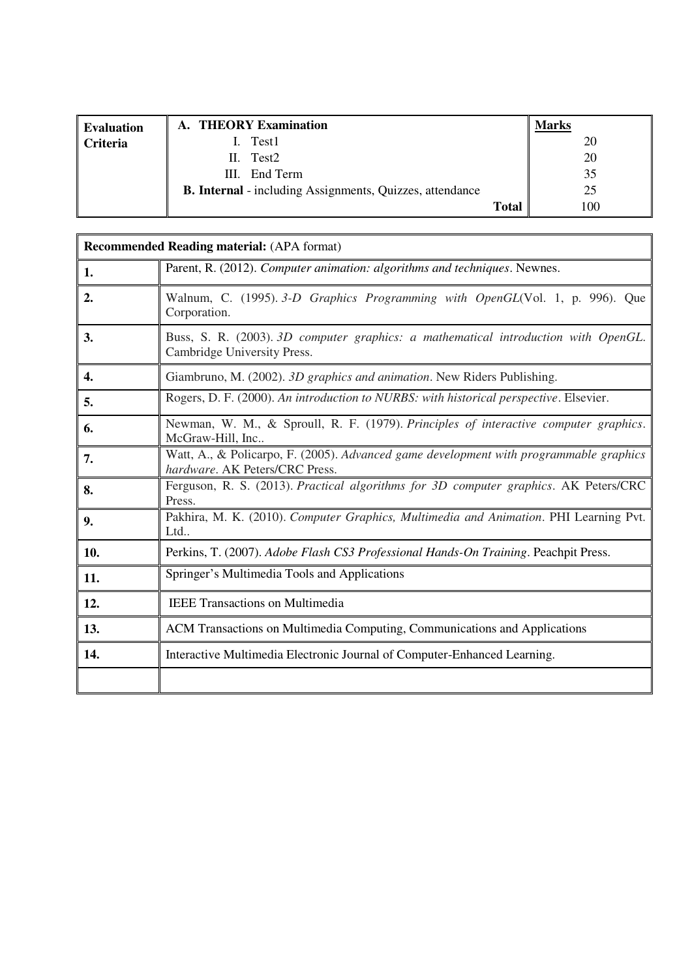| <b>Evaluation</b> | A. THEORY Examination                                           |              | Marks |
|-------------------|-----------------------------------------------------------------|--------------|-------|
| <b>Criteria</b>   | I. Test1                                                        |              | 20    |
|                   | II. Test2                                                       |              | 20    |
|                   | III. End Term                                                   |              | 35    |
|                   | <b>B. Internal</b> - including Assignments, Quizzes, attendance |              | 25    |
|                   |                                                                 | <b>Total</b> | 100   |

|     | <b>Recommended Reading material:</b> (APA format)                                                                        |
|-----|--------------------------------------------------------------------------------------------------------------------------|
| 1.  | Parent, R. (2012). Computer animation: algorithms and techniques. Newnes.                                                |
| 2.  | Walnum, C. (1995). 3-D Graphics Programming with OpenGL(Vol. 1, p. 996). Que<br>Corporation.                             |
| 3.  | Buss, S. R. (2003). 3D computer graphics: a mathematical introduction with OpenGL.<br>Cambridge University Press.        |
| 4.  | Giambruno, M. (2002). 3D graphics and animation. New Riders Publishing.                                                  |
| 5.  | Rogers, D. F. (2000). An introduction to NURBS: with historical perspective. Elsevier.                                   |
| 6.  | Newman, W. M., & Sproull, R. F. (1979). Principles of interactive computer graphics.<br>McGraw-Hill, Inc                 |
| 7.  | Watt, A., & Policarpo, F. (2005). Advanced game development with programmable graphics<br>hardware. AK Peters/CRC Press. |
| 8.  | Ferguson, R. S. (2013). Practical algorithms for 3D computer graphics. AK Peters/CRC<br>Press.                           |
| 9.  | Pakhira, M. K. (2010). Computer Graphics, Multimedia and Animation. PHI Learning Pvt.<br>Ltd                             |
| 10. | Perkins, T. (2007). Adobe Flash CS3 Professional Hands-On Training. Peachpit Press.                                      |
| 11. | Springer's Multimedia Tools and Applications                                                                             |
| 12. | <b>IEEE Transactions on Multimedia</b>                                                                                   |
| 13. | ACM Transactions on Multimedia Computing, Communications and Applications                                                |
| 14. | Interactive Multimedia Electronic Journal of Computer-Enhanced Learning.                                                 |
|     |                                                                                                                          |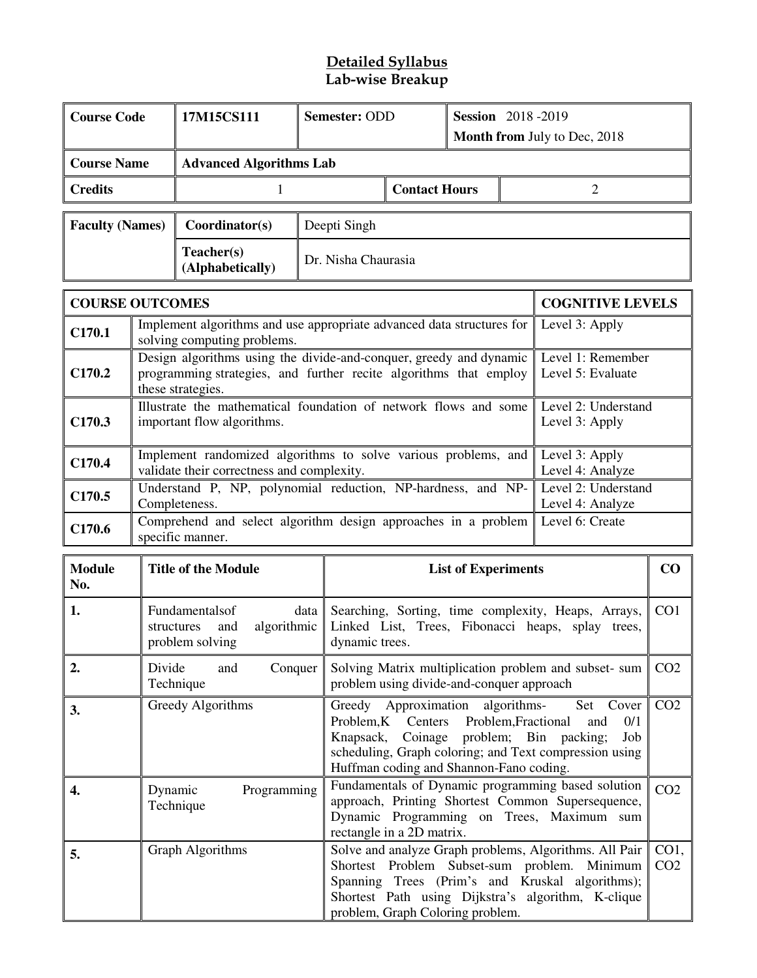### **Detailed Syllabus Lab-wise Breakup**

| <b>Course Code</b>     |                                                                                                                                                                                                                                                                          | 17M15CS111                                                                                                                                                   | Semester: ODD                  | <b>Session</b> 2018-2019                                                                                                                                                                                                                                  |                            |                 | Month from July to Dec, 2018                          |                 |
|------------------------|--------------------------------------------------------------------------------------------------------------------------------------------------------------------------------------------------------------------------------------------------------------------------|--------------------------------------------------------------------------------------------------------------------------------------------------------------|--------------------------------|-----------------------------------------------------------------------------------------------------------------------------------------------------------------------------------------------------------------------------------------------------------|----------------------------|-----------------|-------------------------------------------------------|-----------------|
| <b>Course Name</b>     |                                                                                                                                                                                                                                                                          |                                                                                                                                                              | <b>Advanced Algorithms Lab</b> |                                                                                                                                                                                                                                                           |                            |                 |                                                       |                 |
| <b>Credits</b>         |                                                                                                                                                                                                                                                                          | $\mathbf{1}$                                                                                                                                                 |                                | <b>Contact Hours</b>                                                                                                                                                                                                                                      |                            |                 | $\overline{2}$                                        |                 |
| <b>Faculty (Names)</b> |                                                                                                                                                                                                                                                                          | Coordinator(s)                                                                                                                                               | Deepti Singh                   |                                                                                                                                                                                                                                                           |                            |                 |                                                       |                 |
|                        |                                                                                                                                                                                                                                                                          | Teacher(s)<br>(Alphabetically)                                                                                                                               |                                | Dr. Nisha Chaurasia                                                                                                                                                                                                                                       |                            |                 |                                                       |                 |
| <b>COURSE OUTCOMES</b> |                                                                                                                                                                                                                                                                          |                                                                                                                                                              |                                |                                                                                                                                                                                                                                                           |                            |                 | <b>COGNITIVE LEVELS</b>                               |                 |
| C170.1                 |                                                                                                                                                                                                                                                                          | Implement algorithms and use appropriate advanced data structures for<br>solving computing problems.                                                         |                                |                                                                                                                                                                                                                                                           |                            |                 | Level 3: Apply                                        |                 |
| C <sub>170.2</sub>     |                                                                                                                                                                                                                                                                          | Design algorithms using the divide-and-conquer, greedy and dynamic<br>programming strategies, and further recite algorithms that employ<br>these strategies. |                                |                                                                                                                                                                                                                                                           |                            |                 | Level 1: Remember<br>Level 5: Evaluate                |                 |
| C <sub>170.3</sub>     |                                                                                                                                                                                                                                                                          | Illustrate the mathematical foundation of network flows and some<br>important flow algorithms.                                                               |                                |                                                                                                                                                                                                                                                           |                            |                 | Level 2: Understand<br>Level 3: Apply                 |                 |
| C170.4                 |                                                                                                                                                                                                                                                                          | Implement randomized algorithms to solve various problems, and<br>validate their correctness and complexity.                                                 |                                |                                                                                                                                                                                                                                                           |                            |                 | Level 3: Apply<br>Level 4: Analyze                    |                 |
| C170.5                 |                                                                                                                                                                                                                                                                          | Understand P, NP, polynomial reduction, NP-hardness, and NP-<br>Completeness.                                                                                |                                |                                                                                                                                                                                                                                                           |                            |                 | Level 2: Understand<br>Level 4: Analyze               |                 |
| C170.6                 |                                                                                                                                                                                                                                                                          | Comprehend and select algorithm design approaches in a problem<br>specific manner.                                                                           |                                |                                                                                                                                                                                                                                                           |                            |                 | Level 6: Create                                       |                 |
| <b>Module</b><br>No.   |                                                                                                                                                                                                                                                                          | <b>Title of the Module</b>                                                                                                                                   |                                |                                                                                                                                                                                                                                                           | <b>List of Experiments</b> |                 |                                                       | CO              |
| 1.                     |                                                                                                                                                                                                                                                                          | Fundamentalsof<br>algorithmic<br>structures<br>and<br>problem solving                                                                                        | data                           | Searching, Sorting, time complexity, Heaps, Arrays,<br>Linked List, Trees, Fibonacci heaps, splay trees,<br>dynamic trees.                                                                                                                                |                            |                 | CO <sub>1</sub>                                       |                 |
| 2.                     | Divide                                                                                                                                                                                                                                                                   | Conquer<br>and<br>Technique                                                                                                                                  |                                | problem using divide-and-conquer approach                                                                                                                                                                                                                 |                            |                 | Solving Matrix multiplication problem and subset- sum | CO <sub>2</sub> |
| 3.                     | Greedy Algorithms<br>Approximation<br>algorithms-<br>Greedy<br>Problem, Fractional<br>Problem, K<br>Centers<br>and<br>problem; Bin packing;<br>Knapsack,<br>Coinage<br>scheduling, Graph coloring; and Text compression using<br>Huffman coding and Shannon-Fano coding. |                                                                                                                                                              |                                |                                                                                                                                                                                                                                                           | Set Cover<br>0/1<br>Job    | CO <sub>2</sub> |                                                       |                 |
| 4.                     | Dynamic                                                                                                                                                                                                                                                                  | Programming<br>Technique                                                                                                                                     |                                | Fundamentals of Dynamic programming based solution<br>approach, Printing Shortest Common Supersequence,<br>Dynamic Programming on Trees, Maximum sum<br>rectangle in a 2D matrix.                                                                         |                            |                 | CO <sub>2</sub>                                       |                 |
| 5.                     |                                                                                                                                                                                                                                                                          | Graph Algorithms                                                                                                                                             |                                | Solve and analyze Graph problems, Algorithms. All Pair<br>Shortest Problem Subset-sum problem.<br>Minimum<br>Spanning Trees (Prim's and Kruskal<br>algorithms);<br>Shortest Path using Dijkstra's algorithm, K-clique<br>problem, Graph Coloring problem. |                            |                 | CO1,<br>CO <sub>2</sub>                               |                 |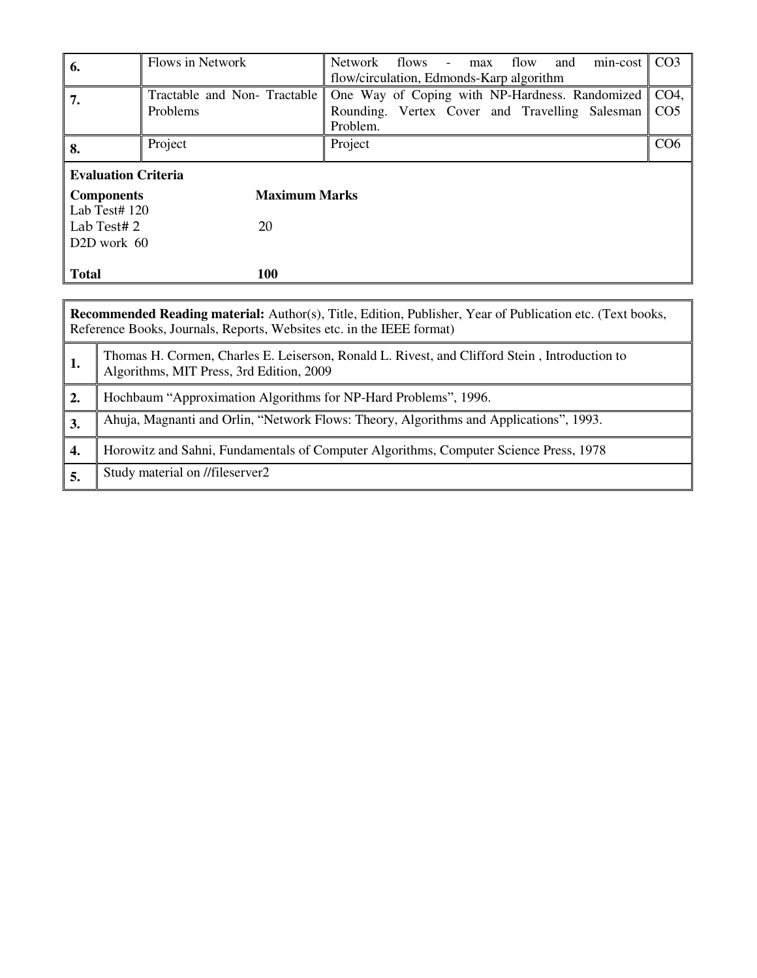| 6.                         | Flows in Network                                           | flows<br>flow<br>Network<br>min-cost<br>and<br>max<br>$\sim$<br>flow/circulation, Edmonds-Karp algorithm     | CO <sub>3</sub>                    |  |  |
|----------------------------|------------------------------------------------------------|--------------------------------------------------------------------------------------------------------------|------------------------------------|--|--|
| 7.                         | Tractable and Non-Tractable<br>Problems                    | One Way of Coping with NP-Hardness. Randomized<br>Rounding. Vertex Cover and Travelling Salesman<br>Problem. | CO <sub>4</sub><br>CO <sub>5</sub> |  |  |
| 8.                         | Project                                                    | Project                                                                                                      | CO <sub>6</sub>                    |  |  |
| <b>Evaluation Criteria</b> |                                                            |                                                                                                              |                                    |  |  |
|                            | <b>Maximum Marks</b><br><b>Components</b><br>Lab Test# 120 |                                                                                                              |                                    |  |  |
| Lab Test#2                 | 20                                                         |                                                                                                              |                                    |  |  |
| D <sub>2</sub> D work 60   |                                                            |                                                                                                              |                                    |  |  |
| <b>Total</b>               | 100                                                        |                                                                                                              |                                    |  |  |
|                            |                                                            |                                                                                                              |                                    |  |  |

|    | <b>Recommended Reading material:</b> Author(s), Title, Edition, Publisher, Year of Publication etc. (Text books,<br>Reference Books, Journals, Reports, Websites etc. in the IEEE format) |  |  |  |  |  |
|----|-------------------------------------------------------------------------------------------------------------------------------------------------------------------------------------------|--|--|--|--|--|
| 1. | Thomas H. Cormen, Charles E. Leiserson, Ronald L. Rivest, and Clifford Stein, Introduction to<br>Algorithms, MIT Press, 3rd Edition, 2009                                                 |  |  |  |  |  |
| 2. | Hochbaum "Approximation Algorithms for NP-Hard Problems", 1996.                                                                                                                           |  |  |  |  |  |
| 3. | Ahuja, Magnanti and Orlin, "Network Flows: Theory, Algorithms and Applications", 1993.                                                                                                    |  |  |  |  |  |
| 4. | Horowitz and Sahni, Fundamentals of Computer Algorithms, Computer Science Press, 1978                                                                                                     |  |  |  |  |  |
| 5. | Study material on //fileserver2                                                                                                                                                           |  |  |  |  |  |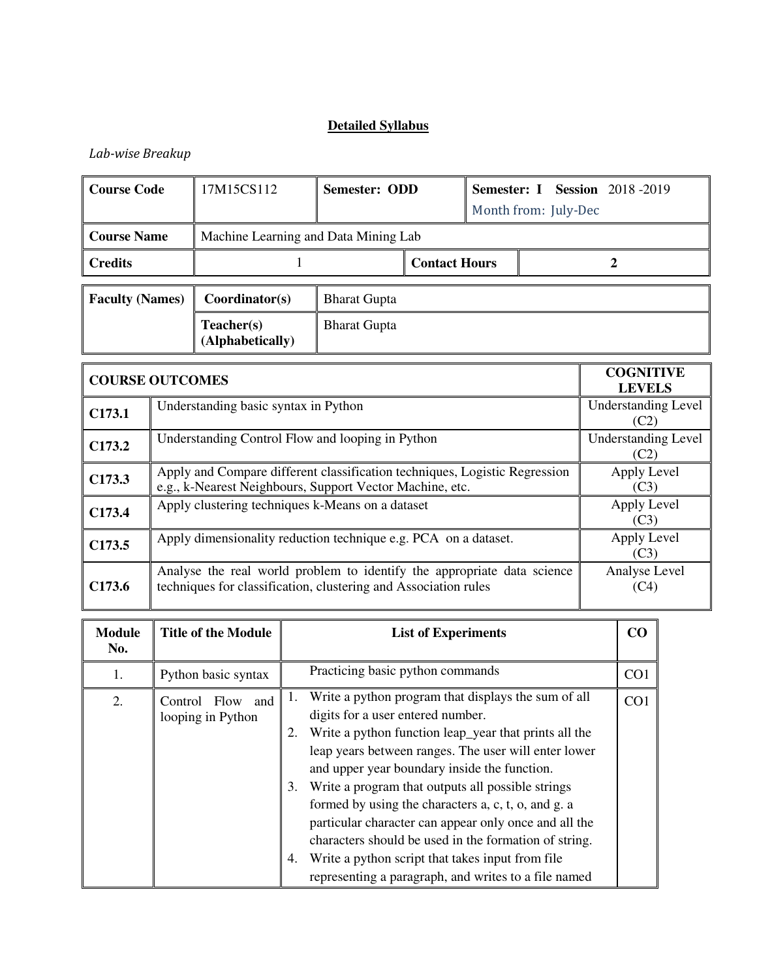## *Lab-wise Breakup*

| <b>Course Code</b>     | 17M15CS112                           | Semester: ODD       |                      | <b>Semester: I Session</b> 2018 -2019<br>Month from: July-Dec |  |  |
|------------------------|--------------------------------------|---------------------|----------------------|---------------------------------------------------------------|--|--|
| <b>Course Name</b>     | Machine Learning and Data Mining Lab |                     |                      |                                                               |  |  |
| <b>Credits</b>         |                                      |                     | <b>Contact Hours</b> |                                                               |  |  |
| <b>Faculty (Names)</b> | Coordinator(s)                       | <b>Bharat Gupta</b> |                      |                                                               |  |  |
|                        | Teacher(s)<br>(Alphabetically)       | <b>Bharat Gupta</b> |                      |                                                               |  |  |

|                    | <b>COURSE OUTCOMES</b>                                                                                                                     | <b>COGNITIVE</b><br><b>LEVELS</b>  |
|--------------------|--------------------------------------------------------------------------------------------------------------------------------------------|------------------------------------|
| C173.1             | Understanding basic syntax in Python                                                                                                       | <b>Understanding Level</b><br>(C2) |
| C <sub>173.2</sub> | Understanding Control Flow and looping in Python                                                                                           | <b>Understanding Level</b><br>(C2) |
| C173.3             | Apply and Compare different classification techniques, Logistic Regression<br>e.g., k-Nearest Neighbours, Support Vector Machine, etc.     | Apply Level<br>(C3)                |
| C <sub>173.4</sub> | Apply clustering techniques k-Means on a dataset                                                                                           | Apply Level<br>(C3)                |
| C <sub>173.5</sub> | Apply dimensionality reduction technique e.g. PCA on a dataset.                                                                            | Apply Level<br>(C3)                |
| C <sub>173.6</sub> | Analyse the real world problem to identify the appropriate data science<br>techniques for classification, clustering and Association rules | Analyse Level<br>(C4)              |

| <b>Module</b><br>No. | <b>Title of the Module</b>               | <b>List of Experiments</b>                                                                                                                                                                                                                                                                                                                                                        | CO              |
|----------------------|------------------------------------------|-----------------------------------------------------------------------------------------------------------------------------------------------------------------------------------------------------------------------------------------------------------------------------------------------------------------------------------------------------------------------------------|-----------------|
| 1.                   | Python basic syntax                      | Practicing basic python commands                                                                                                                                                                                                                                                                                                                                                  | CO <sub>1</sub> |
| 2.                   | Flow and<br>Control<br>looping in Python | Write a python program that displays the sum of all<br>1.<br>digits for a user entered number.<br>Write a python function leap_year that prints all the<br>leap years between ranges. The user will enter lower<br>and upper year boundary inside the function.<br>Write a program that outputs all possible strings<br>3.<br>formed by using the characters a, c, t, o, and g. a | CO <sub>1</sub> |
|                      |                                          | particular character can appear only once and all the<br>characters should be used in the formation of string.<br>Write a python script that takes input from file<br>4.<br>representing a paragraph, and writes to a file named                                                                                                                                                  |                 |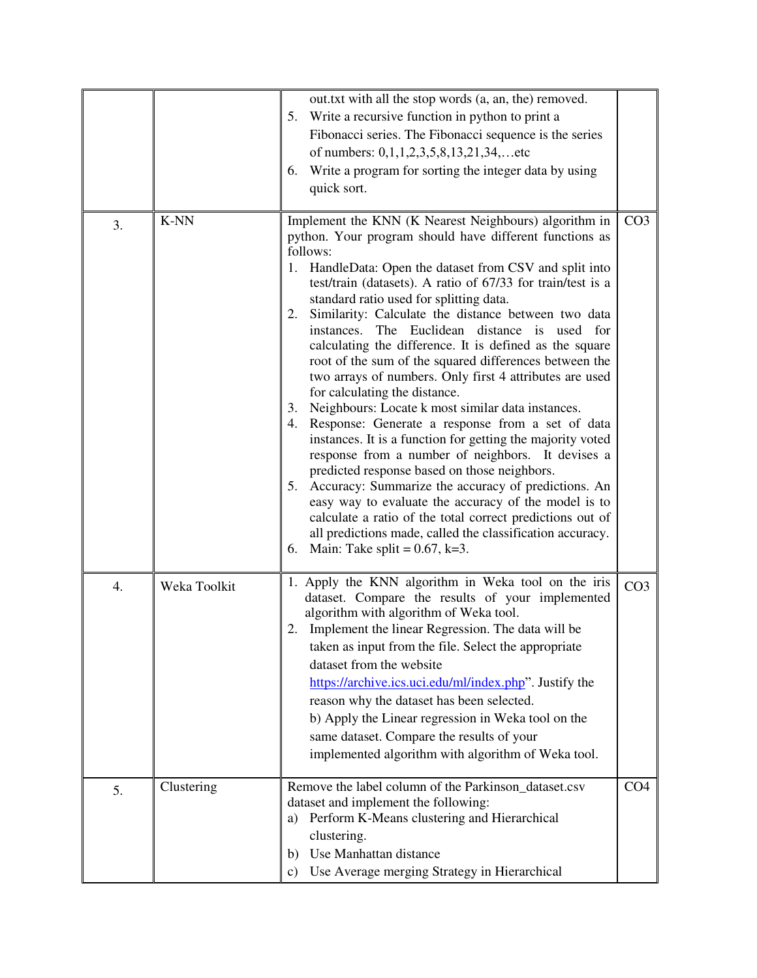|    |              | out.txt with all the stop words (a, an, the) removed.<br>Write a recursive function in python to print a<br>5.<br>Fibonacci series. The Fibonacci sequence is the series<br>of numbers: $0,1,1,2,3,5,8,13,21,34,$ etc<br>Write a program for sorting the integer data by using<br>6.<br>quick sort.                                                                                                                                                                                                                                                                                                                                                                                                                                                                                                                                                                                                                                                                                                                                                                                                                                                                                                      |                 |
|----|--------------|----------------------------------------------------------------------------------------------------------------------------------------------------------------------------------------------------------------------------------------------------------------------------------------------------------------------------------------------------------------------------------------------------------------------------------------------------------------------------------------------------------------------------------------------------------------------------------------------------------------------------------------------------------------------------------------------------------------------------------------------------------------------------------------------------------------------------------------------------------------------------------------------------------------------------------------------------------------------------------------------------------------------------------------------------------------------------------------------------------------------------------------------------------------------------------------------------------|-----------------|
| 3. | K-NN         | Implement the KNN (K Nearest Neighbours) algorithm in<br>python. Your program should have different functions as<br>follows:<br>1. HandleData: Open the dataset from CSV and split into<br>test/train (datasets). A ratio of 67/33 for train/test is a<br>standard ratio used for splitting data.<br>Similarity: Calculate the distance between two data<br>2.<br>instances. The Euclidean distance is used for<br>calculating the difference. It is defined as the square<br>root of the sum of the squared differences between the<br>two arrays of numbers. Only first 4 attributes are used<br>for calculating the distance.<br>3. Neighbours: Locate k most similar data instances.<br>Response: Generate a response from a set of data<br>4.<br>instances. It is a function for getting the majority voted<br>response from a number of neighbors. It devises a<br>predicted response based on those neighbors.<br>5. Accuracy: Summarize the accuracy of predictions. An<br>easy way to evaluate the accuracy of the model is to<br>calculate a ratio of the total correct predictions out of<br>all predictions made, called the classification accuracy.<br>6. Main: Take split = $0.67$ , k=3. | CO <sub>3</sub> |
| 4. | Weka Toolkit | 1. Apply the KNN algorithm in Weka tool on the iris<br>dataset. Compare the results of your implemented<br>algorithm with algorithm of Weka tool.<br>2. Implement the linear Regression. The data will be<br>taken as input from the file. Select the appropriate<br>dataset from the website<br>https://archive.ics.uci.edu/ml/index.php". Justify the<br>reason why the dataset has been selected.<br>b) Apply the Linear regression in Weka tool on the<br>same dataset. Compare the results of your<br>implemented algorithm with algorithm of Weka tool.                                                                                                                                                                                                                                                                                                                                                                                                                                                                                                                                                                                                                                            | CO <sub>3</sub> |
| 5. | Clustering   | Remove the label column of the Parkinson_dataset.csv<br>dataset and implement the following:<br>Perform K-Means clustering and Hierarchical<br>a)<br>clustering.<br>Use Manhattan distance<br>b)<br>Use Average merging Strategy in Hierarchical<br>c)                                                                                                                                                                                                                                                                                                                                                                                                                                                                                                                                                                                                                                                                                                                                                                                                                                                                                                                                                   | CO <sub>4</sub> |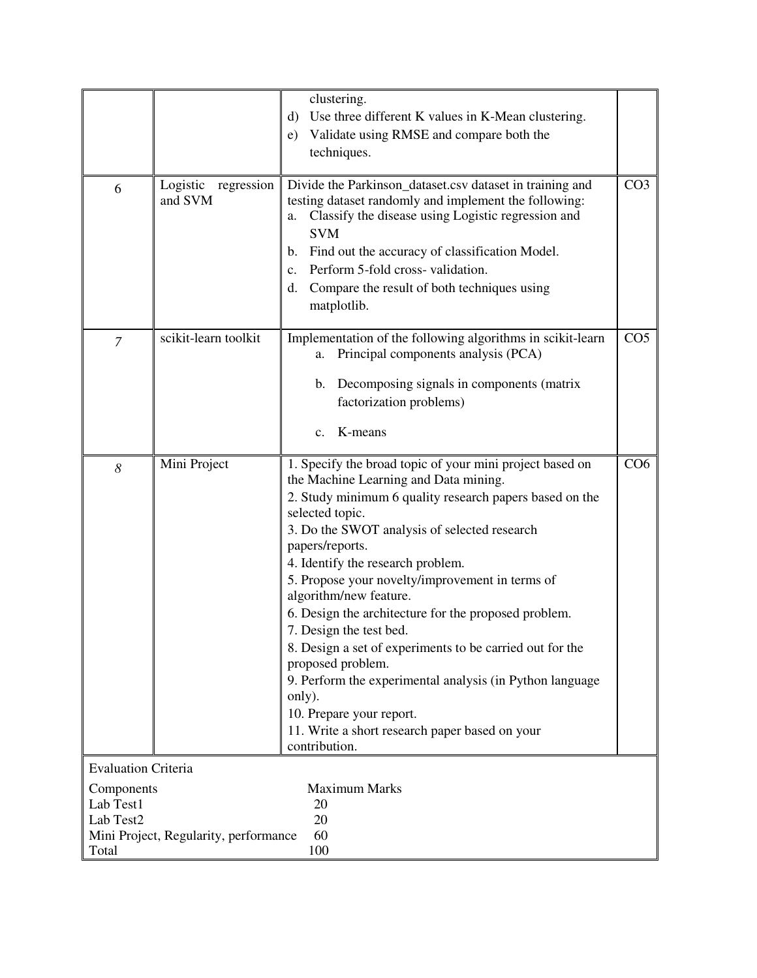|                            |                                       | clustering.                                                                   |                 |
|----------------------------|---------------------------------------|-------------------------------------------------------------------------------|-----------------|
|                            |                                       | d) Use three different K values in K-Mean clustering.                         |                 |
|                            |                                       | e) Validate using RMSE and compare both the                                   |                 |
|                            |                                       | techniques.                                                                   |                 |
|                            |                                       |                                                                               |                 |
| 6                          | Logistic regression                   | Divide the Parkinson_dataset.csv dataset in training and                      | CO <sub>3</sub> |
|                            | and SVM                               | testing dataset randomly and implement the following:                         |                 |
|                            |                                       | Classify the disease using Logistic regression and<br>a.                      |                 |
|                            |                                       | <b>SVM</b>                                                                    |                 |
|                            |                                       | Find out the accuracy of classification Model.<br>$\mathbf{b}$ .              |                 |
|                            |                                       | Perform 5-fold cross-validation.<br>$c_{\cdot}$                               |                 |
|                            |                                       | Compare the result of both techniques using<br>d.                             |                 |
|                            |                                       | matplotlib.                                                                   |                 |
|                            |                                       |                                                                               |                 |
| $\overline{7}$             | scikit-learn toolkit                  | Implementation of the following algorithms in scikit-learn                    | CO <sub>5</sub> |
|                            |                                       | Principal components analysis (PCA)<br>а.                                     |                 |
|                            |                                       |                                                                               |                 |
|                            |                                       | b. Decomposing signals in components (matrix                                  |                 |
|                            |                                       | factorization problems)                                                       |                 |
|                            |                                       | K-means<br>$c_{\cdot}$                                                        |                 |
|                            |                                       |                                                                               |                 |
| 8                          | Mini Project                          | 1. Specify the broad topic of your mini project based on                      | CO6             |
|                            |                                       | the Machine Learning and Data mining.                                         |                 |
|                            |                                       | 2. Study minimum 6 quality research papers based on the                       |                 |
|                            |                                       | selected topic.                                                               |                 |
|                            |                                       | 3. Do the SWOT analysis of selected research                                  |                 |
|                            |                                       | papers/reports.                                                               |                 |
|                            |                                       | 4. Identify the research problem.                                             |                 |
|                            |                                       | 5. Propose your novelty/improvement in terms of                               |                 |
|                            |                                       | algorithm/new feature.                                                        |                 |
|                            |                                       | 6. Design the architecture for the proposed problem.                          |                 |
|                            |                                       | 7. Design the test bed.                                                       |                 |
|                            |                                       | 8. Design a set of experiments to be carried out for the<br>proposed problem. |                 |
|                            |                                       | 9. Perform the experimental analysis (in Python language                      |                 |
|                            |                                       | only).                                                                        |                 |
|                            |                                       | 10. Prepare your report.                                                      |                 |
|                            |                                       | 11. Write a short research paper based on your                                |                 |
|                            |                                       | contribution.                                                                 |                 |
| <b>Evaluation Criteria</b> |                                       |                                                                               |                 |
| Components                 |                                       | <b>Maximum Marks</b>                                                          |                 |
| Lab Test1                  |                                       | 20                                                                            |                 |
| Lab Test2                  |                                       | 20                                                                            |                 |
|                            | Mini Project, Regularity, performance | 60                                                                            |                 |
| Total                      |                                       | 100                                                                           |                 |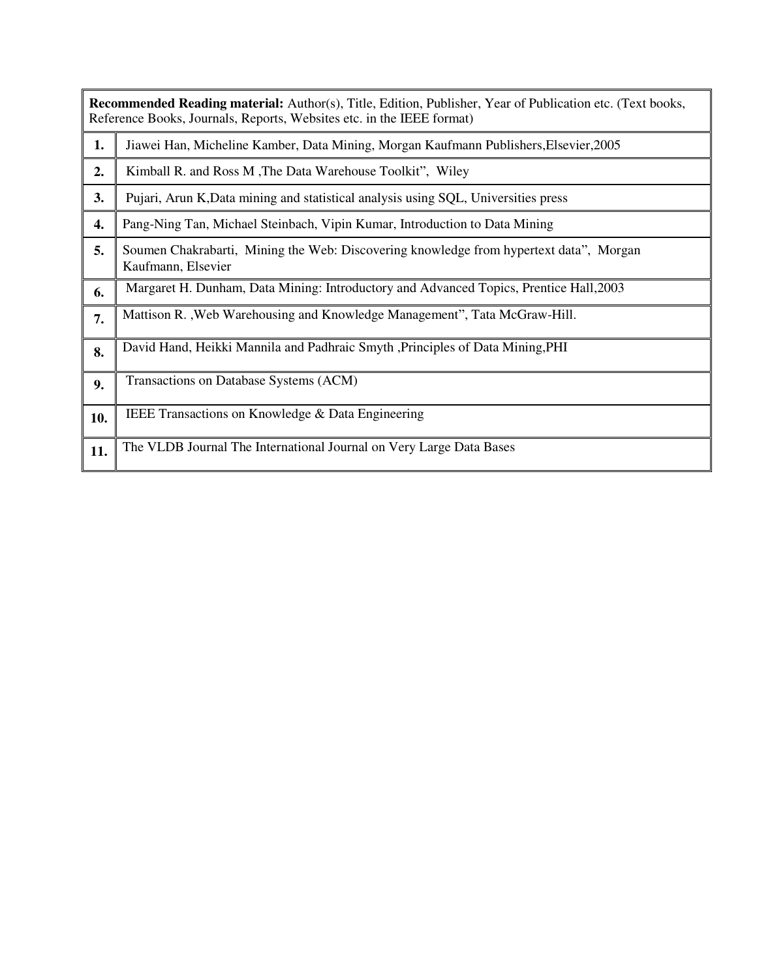|     | Recommended Reading material: Author(s), Title, Edition, Publisher, Year of Publication etc. (Text books,<br>Reference Books, Journals, Reports, Websites etc. in the IEEE format) |
|-----|------------------------------------------------------------------------------------------------------------------------------------------------------------------------------------|
| 1.  | Jiawei Han, Micheline Kamber, Data Mining, Morgan Kaufmann Publishers, Elsevier, 2005                                                                                              |
| 2.  | Kimball R. and Ross M, The Data Warehouse Toolkit", Wiley                                                                                                                          |
| 3.  | Pujari, Arun K, Data mining and statistical analysis using SQL, Universities press                                                                                                 |
| 4.  | Pang-Ning Tan, Michael Steinbach, Vipin Kumar, Introduction to Data Mining                                                                                                         |
| 5.  | Soumen Chakrabarti, Mining the Web: Discovering knowledge from hypertext data", Morgan<br>Kaufmann, Elsevier                                                                       |
| 6.  | Margaret H. Dunham, Data Mining: Introductory and Advanced Topics, Prentice Hall, 2003                                                                                             |
| 7.  | Mattison R., Web Warehousing and Knowledge Management", Tata McGraw-Hill.                                                                                                          |
| 8.  | David Hand, Heikki Mannila and Padhraic Smyth , Principles of Data Mining, PHI                                                                                                     |
| 9.  | Transactions on Database Systems (ACM)                                                                                                                                             |
| 10. | IEEE Transactions on Knowledge & Data Engineering                                                                                                                                  |
| 11. | The VLDB Journal The International Journal on Very Large Data Bases                                                                                                                |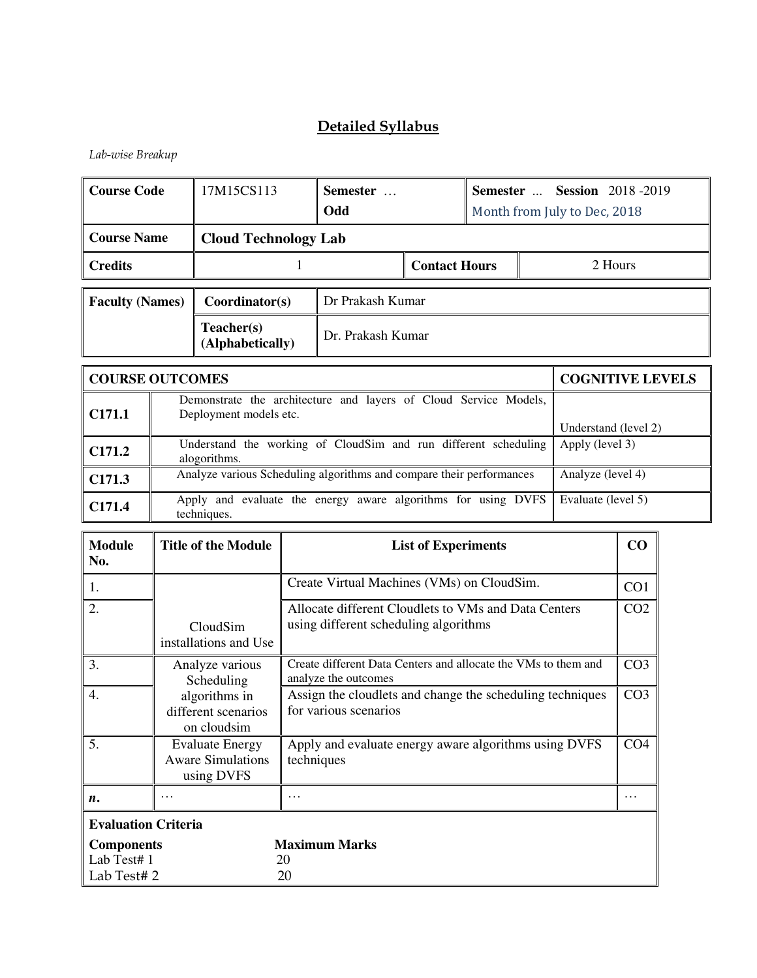*Lab-wise Breakup* 

| <b>Course Code</b>                                                                                               |   | 17M15CS113                                                       |                                                                                                       | Semester<br>Odd                                                                               |                            | <b>Semester  Session 2018-2019</b><br>Month from July to Dec, 2018 |  |                         |                 |  |
|------------------------------------------------------------------------------------------------------------------|---|------------------------------------------------------------------|-------------------------------------------------------------------------------------------------------|-----------------------------------------------------------------------------------------------|----------------------------|--------------------------------------------------------------------|--|-------------------------|-----------------|--|
| <b>Course Name</b>                                                                                               |   | <b>Cloud Technology Lab</b>                                      |                                                                                                       |                                                                                               |                            |                                                                    |  |                         |                 |  |
| <b>Credits</b>                                                                                                   |   |                                                                  | $\mathbf{1}$                                                                                          | <b>Contact Hours</b><br>2 Hours                                                               |                            |                                                                    |  |                         |                 |  |
| <b>Faculty (Names)</b>                                                                                           |   | Coordinator(s)                                                   |                                                                                                       | Dr Prakash Kumar                                                                              |                            |                                                                    |  |                         |                 |  |
|                                                                                                                  |   | Teacher(s)<br>(Alphabetically)                                   |                                                                                                       | Dr. Prakash Kumar                                                                             |                            |                                                                    |  |                         |                 |  |
| <b>COURSE OUTCOMES</b>                                                                                           |   |                                                                  |                                                                                                       |                                                                                               |                            |                                                                    |  | <b>COGNITIVE LEVELS</b> |                 |  |
| C171.1                                                                                                           |   | Deployment models etc.                                           |                                                                                                       | Demonstrate the architecture and layers of Cloud Service Models,                              |                            |                                                                    |  | Understand (level 2)    |                 |  |
| C171.2                                                                                                           |   | alogorithms.                                                     |                                                                                                       | Understand the working of CloudSim and run different scheduling                               |                            |                                                                    |  | Apply (level 3)         |                 |  |
| C171.3                                                                                                           |   |                                                                  |                                                                                                       | Analyze various Scheduling algorithms and compare their performances                          |                            |                                                                    |  | Analyze (level 4)       |                 |  |
| C171.4                                                                                                           |   | techniques.                                                      |                                                                                                       | Apply and evaluate the energy aware algorithms for using DVFS                                 |                            |                                                                    |  | Evaluate (level 5)      |                 |  |
| <b>Module</b><br>No.                                                                                             |   | <b>Title of the Module</b>                                       |                                                                                                       |                                                                                               | <b>List of Experiments</b> |                                                                    |  |                         | CO              |  |
| 1.                                                                                                               |   |                                                                  |                                                                                                       | Create Virtual Machines (VMs) on CloudSim.                                                    |                            |                                                                    |  |                         | CO <sub>1</sub> |  |
| 2.                                                                                                               |   | CloudSim<br>installations and Use                                |                                                                                                       | Allocate different Cloudlets to VMs and Data Centers<br>using different scheduling algorithms |                            |                                                                    |  |                         | CO <sub>2</sub> |  |
| 3.                                                                                                               |   | Analyze various<br>Scheduling                                    |                                                                                                       | Create different Data Centers and allocate the VMs to them and<br>analyze the outcomes        |                            |                                                                    |  |                         | CO <sub>3</sub> |  |
| 4.                                                                                                               |   | algorithms in<br>different scenarios<br>on cloudsim              | CO <sub>3</sub><br>Assign the cloudlets and change the scheduling techniques<br>for various scenarios |                                                                                               |                            |                                                                    |  |                         |                 |  |
| 5.                                                                                                               |   | <b>Evaluate Energy</b><br><b>Aware Simulations</b><br>using DVFS | Apply and evaluate energy aware algorithms using DVFS<br>CO <sub>4</sub><br>techniques                |                                                                                               |                            |                                                                    |  |                         |                 |  |
| n.                                                                                                               | . |                                                                  | .<br>$\cdots$                                                                                         |                                                                                               |                            |                                                                    |  |                         |                 |  |
| <b>Evaluation Criteria</b><br><b>Maximum Marks</b><br><b>Components</b><br>Lab Test# 1<br>20<br>Lab Test#2<br>20 |   |                                                                  |                                                                                                       |                                                                                               |                            |                                                                    |  |                         |                 |  |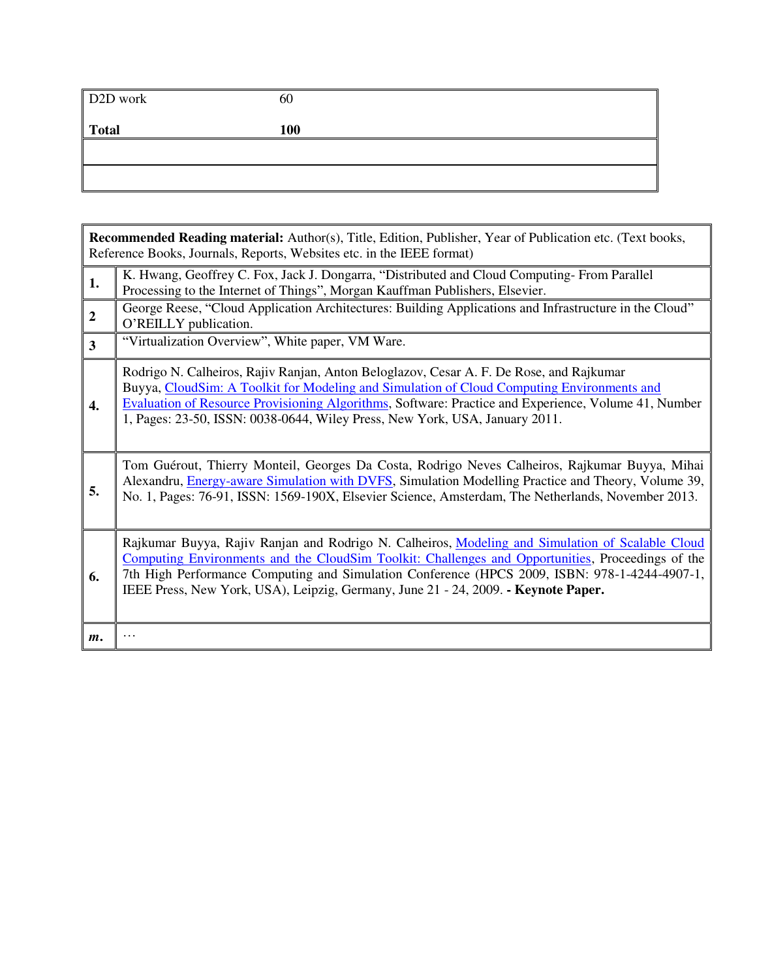| D <sub>2D</sub> work | 60  |
|----------------------|-----|
| Total                | 100 |
|                      |     |
|                      |     |

|                         | Recommended Reading material: Author(s), Title, Edition, Publisher, Year of Publication etc. (Text books,<br>Reference Books, Journals, Reports, Websites etc. in the IEEE format)                                                                                                                                                                                                           |
|-------------------------|----------------------------------------------------------------------------------------------------------------------------------------------------------------------------------------------------------------------------------------------------------------------------------------------------------------------------------------------------------------------------------------------|
| 1.                      | K. Hwang, Geoffrey C. Fox, Jack J. Dongarra, "Distributed and Cloud Computing-From Parallel<br>Processing to the Internet of Things", Morgan Kauffman Publishers, Elsevier.                                                                                                                                                                                                                  |
| $\overline{2}$          | George Reese, "Cloud Application Architectures: Building Applications and Infrastructure in the Cloud"<br>O'REILLY publication.                                                                                                                                                                                                                                                              |
| $\overline{\mathbf{3}}$ | "Virtualization Overview", White paper, VM Ware.                                                                                                                                                                                                                                                                                                                                             |
| 4.                      | Rodrigo N. Calheiros, Rajiv Ranjan, Anton Beloglazov, Cesar A. F. De Rose, and Rajkumar<br>Buyya, CloudSim: A Toolkit for Modeling and Simulation of Cloud Computing Environments and<br>Evaluation of Resource Provisioning Algorithms, Software: Practice and Experience, Volume 41, Number<br>1, Pages: 23-50, ISSN: 0038-0644, Wiley Press, New York, USA, January 2011.                 |
| 5.                      | Tom Guérout, Thierry Monteil, Georges Da Costa, Rodrigo Neves Calheiros, Rajkumar Buyya, Mihai<br>Alexandru, Energy-aware Simulation with DVFS, Simulation Modelling Practice and Theory, Volume 39,<br>No. 1, Pages: 76-91, ISSN: 1569-190X, Elsevier Science, Amsterdam, The Netherlands, November 2013.                                                                                   |
| 6.                      | Rajkumar Buyya, Rajiv Ranjan and Rodrigo N. Calheiros, Modeling and Simulation of Scalable Cloud<br>Computing Environments and the CloudSim Toolkit: Challenges and Opportunities, Proceedings of the<br>7th High Performance Computing and Simulation Conference (HPCS 2009, ISBN: 978-1-4244-4907-1,<br>IEEE Press, New York, USA), Leipzig, Germany, June 21 - 24, 2009. - Keynote Paper. |
| $m$ .                   |                                                                                                                                                                                                                                                                                                                                                                                              |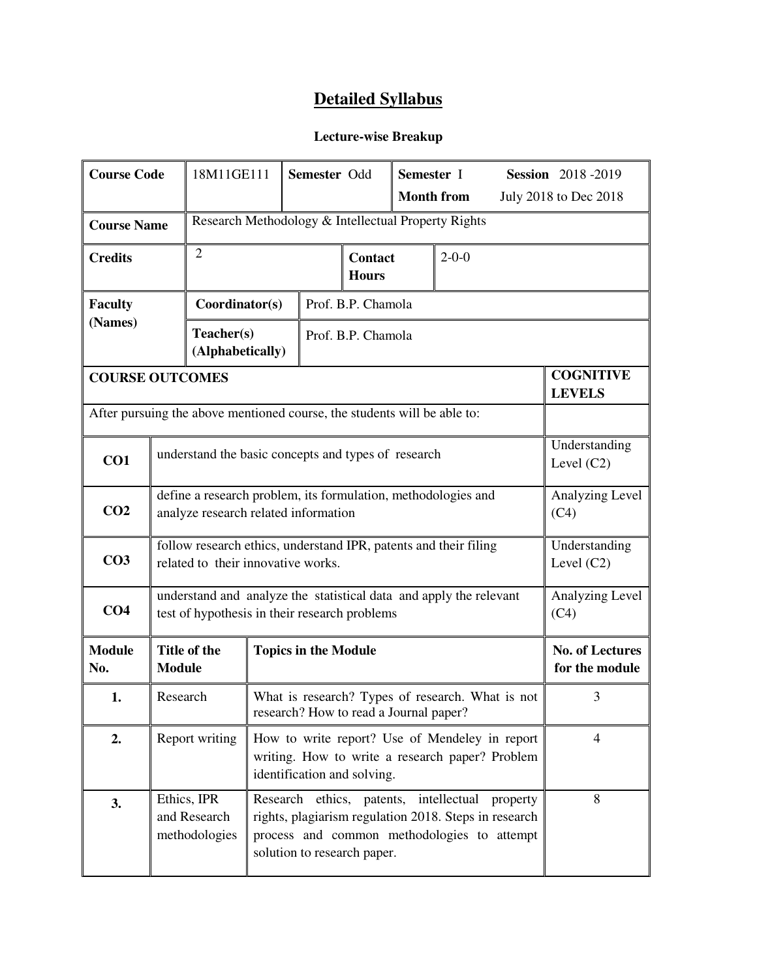#### **Lecture-wise Breakup**

| <b>Course Code</b>     |                                                                                                                                                                                                                                           | 18M11GE111                                                               |                                                     | Semester Odd                |                    | Semester I                    | <b>Session</b> 2018-2019                   |  |                                          |
|------------------------|-------------------------------------------------------------------------------------------------------------------------------------------------------------------------------------------------------------------------------------------|--------------------------------------------------------------------------|-----------------------------------------------------|-----------------------------|--------------------|-------------------------------|--------------------------------------------|--|------------------------------------------|
|                        |                                                                                                                                                                                                                                           |                                                                          |                                                     |                             |                    |                               | <b>Month from</b><br>July 2018 to Dec 2018 |  |                                          |
| <b>Course Name</b>     |                                                                                                                                                                                                                                           |                                                                          | Research Methodology & Intellectual Property Rights |                             |                    |                               |                                            |  |                                          |
| <b>Credits</b>         |                                                                                                                                                                                                                                           | $\overline{2}$                                                           | <b>Contact</b><br>$2 - 0 - 0$<br><b>Hours</b>       |                             |                    |                               |                                            |  |                                          |
| <b>Faculty</b>         |                                                                                                                                                                                                                                           | Coordinator(s)                                                           |                                                     |                             | Prof. B.P. Chamola |                               |                                            |  |                                          |
| (Names)                |                                                                                                                                                                                                                                           | Teacher(s)<br>(Alphabetically)                                           |                                                     |                             | Prof. B.P. Chamola |                               |                                            |  |                                          |
| <b>COURSE OUTCOMES</b> |                                                                                                                                                                                                                                           |                                                                          |                                                     |                             |                    |                               |                                            |  | <b>COGNITIVE</b><br><b>LEVELS</b>        |
|                        |                                                                                                                                                                                                                                           | After pursuing the above mentioned course, the students will be able to: |                                                     |                             |                    |                               |                                            |  |                                          |
| CO1                    | understand the basic concepts and types of research                                                                                                                                                                                       |                                                                          |                                                     |                             |                    | Understanding<br>Level $(C2)$ |                                            |  |                                          |
| CO <sub>2</sub>        | define a research problem, its formulation, methodologies and<br>analyze research related information                                                                                                                                     |                                                                          |                                                     |                             |                    | Analyzing Level<br>(C4)       |                                            |  |                                          |
| CO <sub>3</sub>        | follow research ethics, understand IPR, patents and their filing<br>related to their innovative works.                                                                                                                                    |                                                                          |                                                     |                             |                    | Understanding<br>Level $(C2)$ |                                            |  |                                          |
| CO <sub>4</sub>        | understand and analyze the statistical data and apply the relevant<br>test of hypothesis in their research problems                                                                                                                       |                                                                          |                                                     |                             |                    |                               | Analyzing Level<br>(C4)                    |  |                                          |
| <b>Module</b><br>No.   | <b>Module</b>                                                                                                                                                                                                                             | Title of the                                                             |                                                     | <b>Topics in the Module</b> |                    |                               |                                            |  | <b>No. of Lectures</b><br>for the module |
| 1.                     | What is research? Types of research. What is not<br>Research<br>research? How to read a Journal paper?                                                                                                                                    |                                                                          |                                                     |                             | 3                  |                               |                                            |  |                                          |
| 2.                     | Report writing<br>How to write report? Use of Mendeley in report<br>writing. How to write a research paper? Problem<br>identification and solving.                                                                                        |                                                                          |                                                     |                             | $\overline{4}$     |                               |                                            |  |                                          |
| 3.                     | Ethics, IPR<br>Research ethics, patents, intellectual<br>property<br>and Research<br>rights, plagiarism regulation 2018. Steps in research<br>methodologies<br>process and common methodologies to attempt<br>solution to research paper. |                                                                          |                                                     |                             |                    | 8                             |                                            |  |                                          |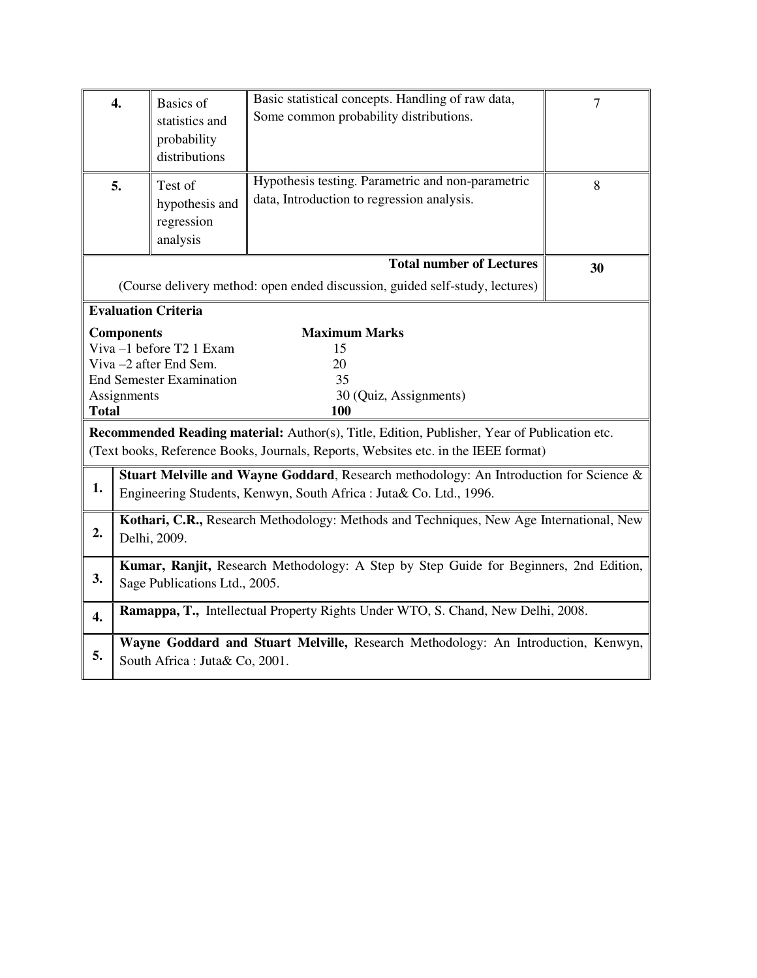|                  | $\overline{4}$ .                                                                                                                                             | $\overline{7}$                                                                        |                                                                                                                                                                                    |    |  |  |  |
|------------------|--------------------------------------------------------------------------------------------------------------------------------------------------------------|---------------------------------------------------------------------------------------|------------------------------------------------------------------------------------------------------------------------------------------------------------------------------------|----|--|--|--|
|                  | 5.                                                                                                                                                           | Test of<br>hypothesis and<br>regression<br>analysis                                   | Hypothesis testing. Parametric and non-parametric<br>data, Introduction to regression analysis.                                                                                    | 8  |  |  |  |
|                  |                                                                                                                                                              |                                                                                       | <b>Total number of Lectures</b>                                                                                                                                                    | 30 |  |  |  |
|                  |                                                                                                                                                              |                                                                                       | (Course delivery method: open ended discussion, guided self-study, lectures)                                                                                                       |    |  |  |  |
|                  |                                                                                                                                                              | <b>Evaluation Criteria</b>                                                            |                                                                                                                                                                                    |    |  |  |  |
| <b>Total</b>     | <b>Components</b><br>Assignments                                                                                                                             | Viva -1 before T2 1 Exam<br>Viva -2 after End Sem.<br><b>End Semester Examination</b> | <b>Maximum Marks</b><br>15<br>20<br>35<br>30 (Quiz, Assignments)<br>100                                                                                                            |    |  |  |  |
|                  |                                                                                                                                                              |                                                                                       | Recommended Reading material: Author(s), Title, Edition, Publisher, Year of Publication etc.<br>(Text books, Reference Books, Journals, Reports, Websites etc. in the IEEE format) |    |  |  |  |
| 1.               | Stuart Melville and Wayne Goddard, Research methodology: An Introduction for Science &<br>Engineering Students, Kenwyn, South Africa : Juta& Co. Ltd., 1996. |                                                                                       |                                                                                                                                                                                    |    |  |  |  |
| 2.               | Kothari, C.R., Research Methodology: Methods and Techniques, New Age International, New<br>Delhi, 2009.                                                      |                                                                                       |                                                                                                                                                                                    |    |  |  |  |
| 3.               | Kumar, Ranjit, Research Methodology: A Step by Step Guide for Beginners, 2nd Edition,<br>Sage Publications Ltd., 2005.                                       |                                                                                       |                                                                                                                                                                                    |    |  |  |  |
| $\overline{4}$ . |                                                                                                                                                              |                                                                                       | Ramappa, T., Intellectual Property Rights Under WTO, S. Chand, New Delhi, 2008.                                                                                                    |    |  |  |  |
| 5.               |                                                                                                                                                              | South Africa: Juta& Co, 2001.                                                         | Wayne Goddard and Stuart Melville, Research Methodology: An Introduction, Kenwyn,                                                                                                  |    |  |  |  |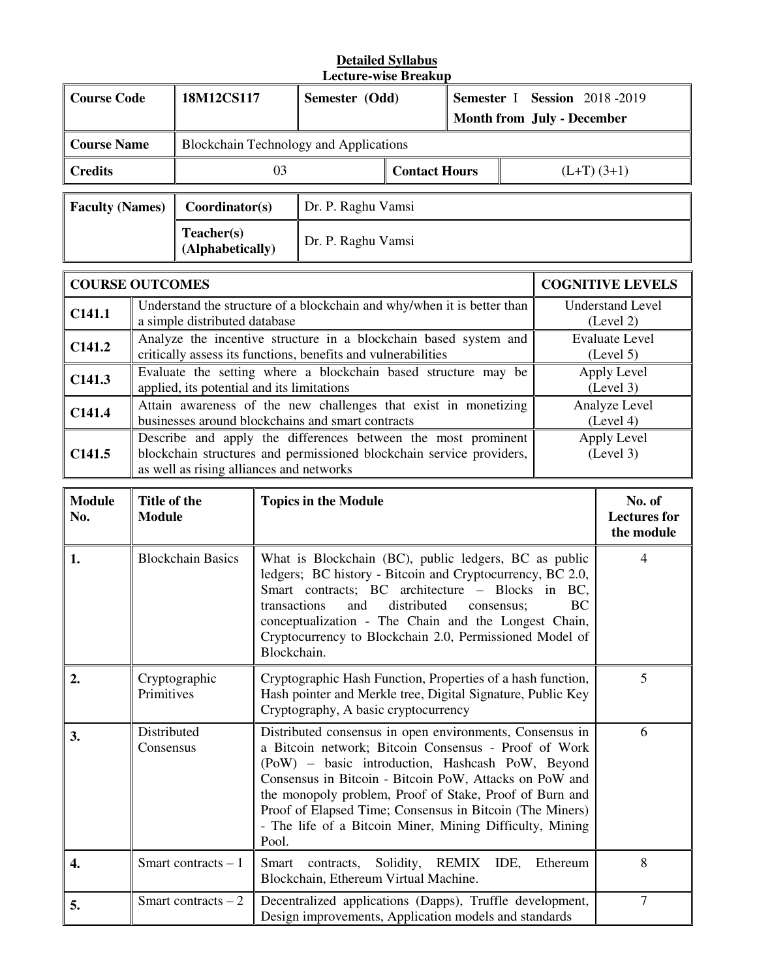#### **Detailed Syllabus Lecture-wise Breakup**

|                                                                                                                    | Lecture-wise Dreakup |                                                                |                                                                  |                                      |                                   |                             |             |
|--------------------------------------------------------------------------------------------------------------------|----------------------|----------------------------------------------------------------|------------------------------------------------------------------|--------------------------------------|-----------------------------------|-----------------------------|-------------|
| <b>Course Code</b>                                                                                                 |                      | 18M12CS117                                                     | Semester (Odd)                                                   |                                      | Semester I Session 2018-2019      |                             |             |
|                                                                                                                    |                      |                                                                |                                                                  |                                      | <b>Month from July - December</b> |                             |             |
| <b>Course Name</b>                                                                                                 |                      | <b>Blockchain Technology and Applications</b>                  |                                                                  |                                      |                                   |                             |             |
| <b>Credits</b>                                                                                                     |                      | 03                                                             | <b>Contact Hours</b>                                             |                                      |                                   | $(L+T)(3+1)$                |             |
|                                                                                                                    |                      |                                                                |                                                                  |                                      |                                   |                             |             |
| <b>Faculty (Names)</b>                                                                                             |                      | Coordinator(s)                                                 | Dr. P. Raghu Vamsi                                               |                                      |                                   |                             |             |
|                                                                                                                    |                      | Teacher(s)<br>(Alphabetically)                                 | Dr. P. Raghu Vamsi                                               |                                      |                                   |                             |             |
|                                                                                                                    |                      |                                                                |                                                                  |                                      |                                   |                             |             |
| <b>COURSE OUTCOMES</b>                                                                                             |                      |                                                                |                                                                  |                                      |                                   | <b>COGNITIVE LEVELS</b>     |             |
| Understand the structure of a blockchain and why/when it is better than<br>C141.1<br>a simple distributed database |                      |                                                                |                                                                  | <b>Understand Level</b><br>(Level 2) |                                   |                             |             |
| C141.2<br>critically assess its functions, benefits and vulnerabilities                                            |                      |                                                                | Analyze the incentive structure in a blockchain based system and |                                      |                                   | Evaluate Level<br>(Level 5) |             |
| C1412                                                                                                              |                      | Evaluate the setting where a blockchain based structure may be |                                                                  |                                      |                                   |                             | Apply Level |

| C141.3             | Evaluate the setting where a blockchain based structure may be<br>applied, its potential and its limitations                                                                      | Apply Level<br>(Level 3)   |
|--------------------|-----------------------------------------------------------------------------------------------------------------------------------------------------------------------------------|----------------------------|
| C141.4             | Attain awareness of the new challenges that exist in monetizing<br>businesses around blockchains and smart contracts                                                              | Analyze Level<br>(Level 4) |
| C <sub>141.5</sub> | Describe and apply the differences between the most prominent<br>blockchain structures and permissioned blockchain service providers,<br>as well as rising alliances and networks | Apply Level<br>(Level 3)   |

| <b>Module</b><br>No. | Title of the<br><b>Module</b> | <b>Topics in the Module</b>                                                                                                                                                                                                                                                                                                                                                                                                | No. of<br><b>Lectures for</b><br>the module |
|----------------------|-------------------------------|----------------------------------------------------------------------------------------------------------------------------------------------------------------------------------------------------------------------------------------------------------------------------------------------------------------------------------------------------------------------------------------------------------------------------|---------------------------------------------|
| 1.                   | <b>Blockchain Basics</b>      | What is Blockchain (BC), public ledgers, BC as public<br>ledgers; BC history - Bitcoin and Cryptocurrency, BC 2.0,<br>Smart contracts; BC architecture - Blocks in BC,<br>transactions<br>and<br>distributed<br><b>BC</b><br>consensus;<br>conceptualization - The Chain and the Longest Chain,<br>Cryptocurrency to Blockchain 2.0, Permissioned Model of<br>Blockchain.                                                  | 4                                           |
| 2.                   | Cryptographic<br>Primitives   | Cryptographic Hash Function, Properties of a hash function,<br>Hash pointer and Merkle tree, Digital Signature, Public Key<br>Cryptography, A basic cryptocurrency                                                                                                                                                                                                                                                         | 5                                           |
| 3.                   | Distributed<br>Consensus      | Distributed consensus in open environments, Consensus in<br>a Bitcoin network; Bitcoin Consensus - Proof of Work<br>(PoW) – basic introduction, Hashcash PoW, Beyond<br>Consensus in Bitcoin - Bitcoin PoW, Attacks on PoW and<br>the monopoly problem, Proof of Stake, Proof of Burn and<br>Proof of Elapsed Time; Consensus in Bitcoin (The Miners)<br>- The life of a Bitcoin Miner, Mining Difficulty, Mining<br>Pool. | 6                                           |
| 4.                   | Smart contracts $-1$          | contracts, Solidity, REMIX<br>IDE,<br>Smart<br>Ethereum<br>Blockchain, Ethereum Virtual Machine.                                                                                                                                                                                                                                                                                                                           | 8                                           |
| 5.                   | Smart contracts $-2$          | Decentralized applications (Dapps), Truffle development,<br>Design improvements, Application models and standards                                                                                                                                                                                                                                                                                                          | $\overline{7}$                              |